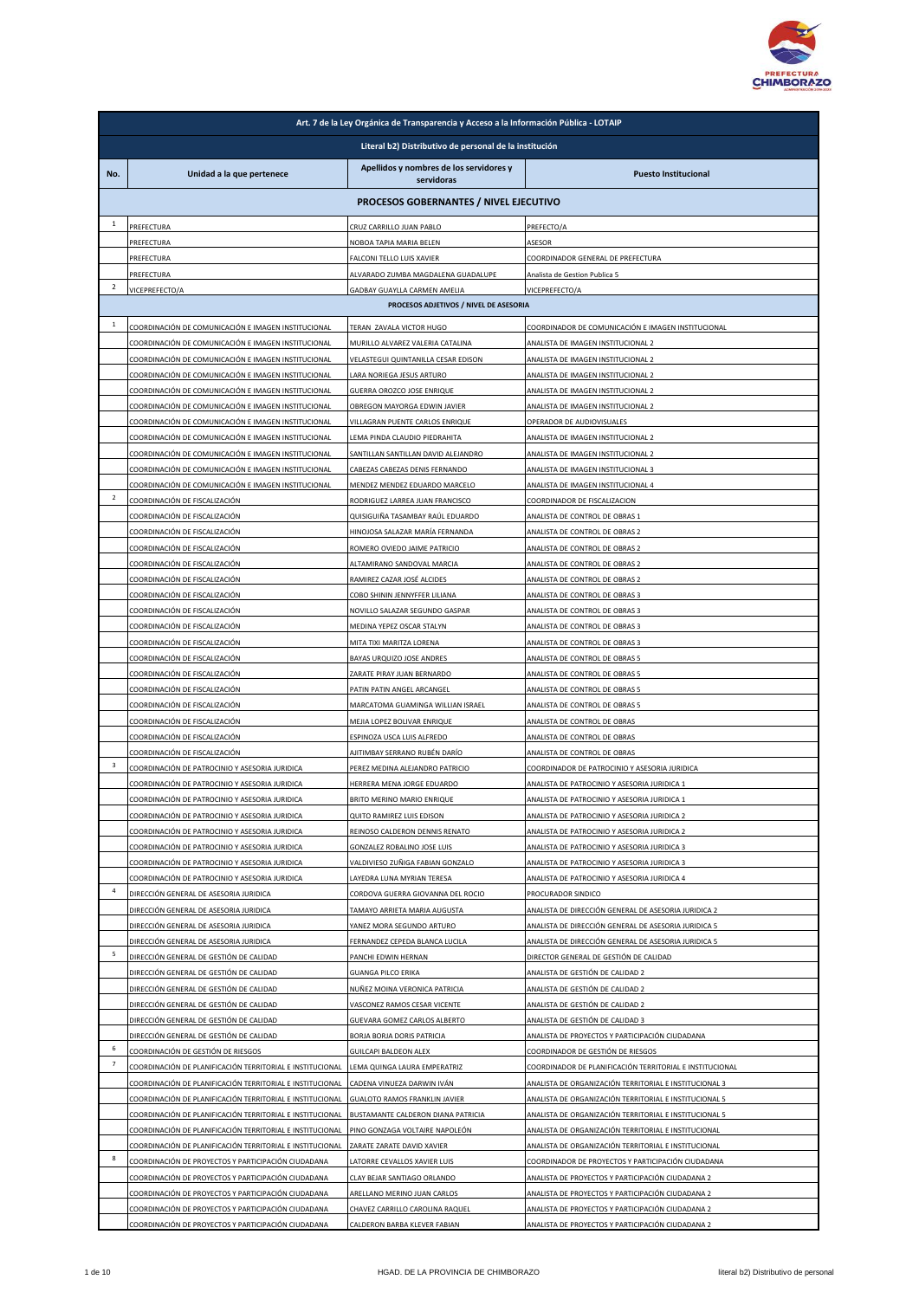

|                |                                                                                                                        | Art. 7 de la Ley Orgánica de Transparencia y Acceso a la Información Pública - LOTAIP |                                                                                                                    |  |  |
|----------------|------------------------------------------------------------------------------------------------------------------------|---------------------------------------------------------------------------------------|--------------------------------------------------------------------------------------------------------------------|--|--|
|                | Literal b2) Distributivo de personal de la institución                                                                 |                                                                                       |                                                                                                                    |  |  |
| No.            | Unidad a la que pertenece                                                                                              | Apellidos y nombres de los servidores y<br>servidoras                                 | <b>Puesto Institucional</b>                                                                                        |  |  |
|                | PROCESOS GOBERNANTES / NIVEL EJECUTIVO                                                                                 |                                                                                       |                                                                                                                    |  |  |
| $\mathbf{1}$   | PREFECTURA                                                                                                             | CRUZ CARRILLO JUAN PABLO                                                              | PREFECTO/A                                                                                                         |  |  |
|                | PREFECTURA                                                                                                             | NOBOA TAPIA MARIA BELEN                                                               | ASESOR                                                                                                             |  |  |
|                | PREFECTURA                                                                                                             | FALCONI TELLO LUIS XAVIER                                                             | COORDINADOR GENERAL DE PREFECTURA                                                                                  |  |  |
|                | PREFECTURA                                                                                                             | ALVARADO ZUMBA MAGDALENA GUADALUPE                                                    | Analista de Gestion Publica 5                                                                                      |  |  |
| $\overline{2}$ | VICEPREFECTO/A                                                                                                         | GADBAY GUAYLLA CARMEN AMELIA<br>PROCESOS ADJETIVOS / NIVEL DE ASESORIA                | VICEPREFECTO/A                                                                                                     |  |  |
| $\mathbf{1}$   |                                                                                                                        |                                                                                       |                                                                                                                    |  |  |
|                | COORDINACIÓN DE COMUNICACIÓN E IMAGEN INSTITUCIONAL<br>COORDINACIÓN DE COMUNICACIÓN E IMAGEN INSTITUCIONAL             | TERAN ZAVALA VICTOR HUGO                                                              | COORDINADOR DE COMUNICACIÓN E IMAGEN INSTITUCIONAL                                                                 |  |  |
|                | COORDINACIÓN DE COMUNICACIÓN E IMAGEN INSTITUCIONAL                                                                    | MURILLO ALVAREZ VALERIA CATALINA<br>VELASTEGUI QUINTANILLA CESAR EDISON               | ANALISTA DE IMAGEN INSTITUCIONAL 2<br>ANALISTA DE IMAGEN INSTITUCIONAL 2                                           |  |  |
|                | COORDINACIÓN DE COMUNICACIÓN E IMAGEN INSTITUCIONAL                                                                    | LARA NORIEGA JESUS ARTURO                                                             | ANALISTA DE IMAGEN INSTITUCIONAL 2                                                                                 |  |  |
|                | COORDINACIÓN DE COMUNICACIÓN E IMAGEN INSTITUCIONAL                                                                    | GUERRA OROZCO JOSE ENRIQUE                                                            | ANALISTA DE IMAGEN INSTITUCIONAL 2                                                                                 |  |  |
|                | COORDINACIÓN DE COMUNICACIÓN E IMAGEN INSTITUCIONAL                                                                    | OBREGON MAYORGA EDWIN JAVIER                                                          | ANALISTA DE IMAGEN INSTITUCIONAL 2                                                                                 |  |  |
|                | COORDINACIÓN DE COMUNICACIÓN E IMAGEN INSTITUCIONAL<br>COORDINACIÓN DE COMUNICACIÓN E IMAGEN INSTITUCIONAL             | VILLAGRAN PUENTE CARLOS ENRIQUE                                                       | OPERADOR DE AUDIOVISUALES                                                                                          |  |  |
|                | COORDINACIÓN DE COMUNICACIÓN E IMAGEN INSTITUCIONAL                                                                    | LEMA PINDA CLAUDIO PIEDRAHITA<br>SANTILLAN SANTILLAN DAVID ALEJANDRO                  | ANALISTA DE IMAGEN INSTITUCIONAL 2<br>ANALISTA DE IMAGEN INSTITUCIONAL 2                                           |  |  |
|                | COORDINACIÓN DE COMUNICACIÓN E IMAGEN INSTITUCIONAL                                                                    | CABEZAS CABEZAS DENIS FERNANDO                                                        | ANALISTA DE IMAGEN INSTITUCIONAL 3                                                                                 |  |  |
|                | COORDINACIÓN DE COMUNICACIÓN E IMAGEN INSTITUCIONAL                                                                    | MENDEZ MENDEZ EDUARDO MARCELO                                                         | ANALISTA DE IMAGEN INSTITUCIONAL 4                                                                                 |  |  |
| $\overline{2}$ | COORDINACIÓN DE FISCALIZACIÓN                                                                                          | RODRIGUEZ LARREA JUAN FRANCISCO                                                       | COORDINADOR DE FISCALIZACION                                                                                       |  |  |
|                | COORDINACIÓN DE FISCALIZACIÓN                                                                                          | QUISIGUIÑA TASAMBAY RAÚL EDUARDO                                                      | ANALISTA DE CONTROL DE OBRAS 1                                                                                     |  |  |
|                | COORDINACIÓN DE FISCALIZACIÓN<br>COORDINACIÓN DE FISCALIZACIÓN                                                         | HINOJOSA SALAZAR MARÍA FERNANDA<br>ROMERO OVIEDO JAIME PATRICIO                       | ANALISTA DE CONTROL DE OBRAS 2<br>ANALISTA DE CONTROL DE OBRAS 2                                                   |  |  |
|                | COORDINACIÓN DE FISCALIZACIÓN                                                                                          | ALTAMIRANO SANDOVAL MARCIA                                                            | ANALISTA DE CONTROL DE OBRAS 2                                                                                     |  |  |
|                | COORDINACIÓN DE FISCALIZACIÓN                                                                                          | RAMIREZ CAZAR JOSÉ ALCIDES                                                            | ANALISTA DE CONTROL DE OBRAS 2                                                                                     |  |  |
|                | COORDINACIÓN DE FISCALIZACIÓN                                                                                          | COBO SHININ JENNYFFER LILIANA                                                         | ANALISTA DE CONTROL DE OBRAS 3                                                                                     |  |  |
|                | COORDINACIÓN DE FISCALIZACIÓN                                                                                          | NOVILLO SALAZAR SEGUNDO GASPAR                                                        | ANALISTA DE CONTROL DE OBRAS 3                                                                                     |  |  |
|                | COORDINACIÓN DE FISCALIZACIÓN                                                                                          | MEDINA YEPEZ OSCAR STALYN                                                             | ANALISTA DE CONTROL DE OBRAS 3                                                                                     |  |  |
|                | COORDINACIÓN DE FISCALIZACIÓN                                                                                          | MITA TIXI MARITZA LORENA                                                              | ANALISTA DE CONTROL DE OBRAS 3                                                                                     |  |  |
|                | COORDINACIÓN DE FISCALIZACIÓN<br>COORDINACIÓN DE FISCALIZACIÓN                                                         | BAYAS URQUIZO JOSE ANDRES<br>ZARATE PIRAY JUAN BERNARDO                               | ANALISTA DE CONTROL DE OBRAS 5<br>ANALISTA DE CONTROL DE OBRAS 5                                                   |  |  |
|                | COORDINACIÓN DE FISCALIZACIÓN                                                                                          | PATIN PATIN ANGEL ARCANGEL                                                            | ANALISTA DE CONTROL DE OBRAS 5                                                                                     |  |  |
|                | COORDINACIÓN DE FISCALIZACIÓN                                                                                          | MARCATOMA GUAMINGA WILLIAN ISRAEL                                                     | ANALISTA DE CONTROL DE OBRAS 5                                                                                     |  |  |
|                | COORDINACIÓN DE FISCALIZACIÓN                                                                                          | MEJIA LOPEZ BOLIVAR ENRIQUE                                                           | ANALISTA DE CONTROL DE OBRAS                                                                                       |  |  |
|                | COORDINACIÓN DE FISCALIZACIÓN                                                                                          | ESPINOZA USCA LUIS ALFREDO                                                            | ANALISTA DE CONTROL DE OBRAS                                                                                       |  |  |
| 3              | COORDINACIÓN DE FISCALIZACIÓN<br>COORDINACIÓN DE PATROCINIO Y ASESORIA JURIDICA                                        | AJITIMBAY SERRANO RUBÉN DARÍO<br>PEREZ MEDINA ALEJANDRO PATRICIO                      | ANALISTA DE CONTROL DE OBRAS<br>COORDINADOR DE PATROCINIO Y ASESORIA JURIDICA                                      |  |  |
|                | COORDINACIÓN DE PATROCINIO Y ASESORIA JURIDICA                                                                         | HERRERA MENA JORGE EDUARDO                                                            | ANALISTA DE PATROCINIO Y ASESORIA JURIDICA 1                                                                       |  |  |
|                | COORDINACIÓN DE PATROCINIO Y ASESORIA JURIDICA                                                                         | BRITO MERINO MARIO ENRIQUE                                                            | ANALISTA DE PATROCINIO Y ASESORIA JURIDICA 1                                                                       |  |  |
|                | COORDINACIÓN DE PATROCINIO Y ASESORIA JURIDICA                                                                         | QUITO RAMIREZ LUIS EDISON                                                             | ANALISTA DE PATROCINIO Y ASESORIA JURIDICA 2                                                                       |  |  |
|                | COORDINACIÓN DE PATROCINIO Y ASESORIA JURIDICA                                                                         | REINOSO CALDERON DENNIS RENATO                                                        | ANALISTA DE PATROCINIO Y ASESORIA JURIDICA 2                                                                       |  |  |
|                | COORDINACIÓN DE PATROCINIO Y ASESORIA JURIDICA                                                                         | <b>GONZALEZ ROBALINO JOSE LUIS</b>                                                    | ANALISTA DE PATROCINIO Y ASESORIA JURIDICA 3                                                                       |  |  |
|                | COORDINACIÓN DE PATROCINIO Y ASESORIA JURIDICA<br>COORDINACIÓN DE PATROCINIO Y ASESORIA JURIDICA                       | VALDIVIESO ZUÑIGA FABIAN GONZALO<br>LAYEDRA LUNA MYRIAN TERESA                        | ANALISTA DE PATROCINIO Y ASESORIA JURIDICA 3<br>ANALISTA DE PATROCINIO Y ASESORIA JURIDICA 4                       |  |  |
| $\overline{4}$ | DIRECCIÓN GENERAL DE ASESORIA JURIDICA                                                                                 | CORDOVA GUERRA GIOVANNA DEL ROCIO                                                     | PROCURADOR SINDICO                                                                                                 |  |  |
|                | DIRECCIÓN GENERAL DE ASESORIA JURIDICA                                                                                 | TAMAYO ARRIETA MARIA AUGUSTA                                                          | ANALISTA DE DIRECCIÓN GENERAL DE ASESORIA JURIDICA 2                                                               |  |  |
|                | DIRECCIÓN GENERAL DE ASESORIA JURIDICA                                                                                 | YANEZ MORA SEGUNDO ARTURO                                                             | ANALISTA DE DIRECCIÓN GENERAL DE ASESORIA JURIDICA 5                                                               |  |  |
| 5              | DIRECCIÓN GENERAL DE ASESORIA JURIDICA                                                                                 | FERNANDEZ CEPEDA BLANCA LUCILA                                                        | ANALISTA DE DIRECCIÓN GENERAL DE ASESORIA JURIDICA 5                                                               |  |  |
|                | DIRECCIÓN GENERAL DE GESTIÓN DE CALIDAD                                                                                | PANCHI EDWIN HERNAN<br><b>GUANGA PILCO ERIKA</b>                                      | DIRECTOR GENERAL DE GESTIÓN DE CALIDAD                                                                             |  |  |
|                | DIRECCIÓN GENERAL DE GESTIÓN DE CALIDAD<br>DIRECCIÓN GENERAL DE GESTIÓN DE CALIDAD                                     | NUÑEZ MOINA VERONICA PATRICIA                                                         | ANALISTA DE GESTIÓN DE CALIDAD 2<br>ANALISTA DE GESTIÓN DE CALIDAD 2                                               |  |  |
|                | <u>DIRECCIÓN GENERAL DE GESTIÓN DE CALIDAD</u>                                                                         | VASCONEZ RAMOS CESAR VICENTE                                                          | ANALISTA DE GESTIÓN DE CALIDAD 2                                                                                   |  |  |
|                | DIRECCIÓN GENERAL DE GESTIÓN DE CALIDAD                                                                                | GUEVARA GOMEZ CARLOS ALBERTO                                                          | ANALISTA DE GESTIÓN DE CALIDAD 3                                                                                   |  |  |
|                | DIRECCIÓN GENERAL DE GESTIÓN DE CALIDAD                                                                                | BORJA BORJA DORIS PATRICIA                                                            | ANALISTA DE PROYECTOS Y PARTICIPACIÓN CIUDADANA                                                                    |  |  |
| 6<br>7         | COORDINACIÓN DE GESTIÓN DE RIESGOS                                                                                     | GUILCAPI BALDEON ALEX                                                                 | COORDINADOR DE GESTIÓN DE RIESGOS                                                                                  |  |  |
|                | COORDINACIÓN DE PLANIFICACIÓN TERRITORIAL E INSTITUCIONAL<br>COORDINACIÓN DE PLANIFICACIÓN TERRITORIAL E INSTITUCIONAL | LEMA QUINGA LAURA EMPERATRIZ<br>CADENA VINUEZA DARWIN IVÁN                            | COORDINADOR DE PLANIFICACIÓN TERRITORIAL E INSTITUCIONAL<br>ANALISTA DE ORGANIZACIÓN TERRITORIAL E INSTITUCIONAL 3 |  |  |
|                | COORDINACIÓN DE PLANIFICACIÓN TERRITORIAL E INSTITUCIONAL                                                              | <b>GUALOTO RAMOS FRANKLIN JAVIER</b>                                                  | ANALISTA DE ORGANIZACIÓN TERRITORIAL E INSTITUCIONAL 5                                                             |  |  |
|                | COORDINACIÓN DE PLANIFICACIÓN TERRITORIAL E INSTITUCIONAL                                                              | BUSTAMANTE CALDERON DIANA PATRICIA                                                    | ANALISTA DE ORGANIZACIÓN TERRITORIAL E INSTITUCIONAL 5                                                             |  |  |
|                | COORDINACIÓN DE PLANIFICACIÓN TERRITORIAL E INSTITUCIONAL                                                              | PINO GONZAGA VOLTAIRE NAPOLEÓN                                                        | ANALISTA DE ORGANIZACIÓN TERRITORIAL E INSTITUCIONAL                                                               |  |  |
|                | COORDINACIÓN DE PLANIFICACIÓN TERRITORIAL E INSTITUCIONAL                                                              | ZARATE ZARATE DAVID XAVIER                                                            | ANALISTA DE ORGANIZACIÓN TERRITORIAL E INSTITUCIONAL                                                               |  |  |
| 8              | COORDINACIÓN DE PROYECTOS Y PARTICIPACIÓN CIUDADANA                                                                    | LATORRE CEVALLOS XAVIER LUIS                                                          | COORDINADOR DE PROYECTOS Y PARTICIPACIÓN CIUDADANA                                                                 |  |  |
|                | COORDINACIÓN DE PROYECTOS Y PARTICIPACIÓN CIUDADANA<br>COORDINACIÓN DE PROYECTOS Y PARTICIPACIÓN CIUDADANA             | CLAY BEJAR SANTIAGO ORLANDO<br>ARELLANO MERINO JUAN CARLOS                            | ANALISTA DE PROYECTOS Y PARTICIPACIÓN CIUDADANA 2<br>ANALISTA DE PROYECTOS Y PARTICIPACIÓN CIUDADANA 2             |  |  |
|                | COORDINACIÓN DE PROYECTOS Y PARTICIPACIÓN CIUDADANA                                                                    | CHAVEZ CARRILLO CAROLINA RAQUEL                                                       | ANALISTA DE PROYECTOS Y PARTICIPACIÓN CIUDADANA 2                                                                  |  |  |
|                | COORDINACIÓN DE PROYECTOS Y PARTICIPACIÓN CIUDADANA                                                                    | CALDERON BARBA KLEVER FABIAN                                                          | ANALISTA DE PROYECTOS Y PARTICIPACIÓN CIUDADANA 2                                                                  |  |  |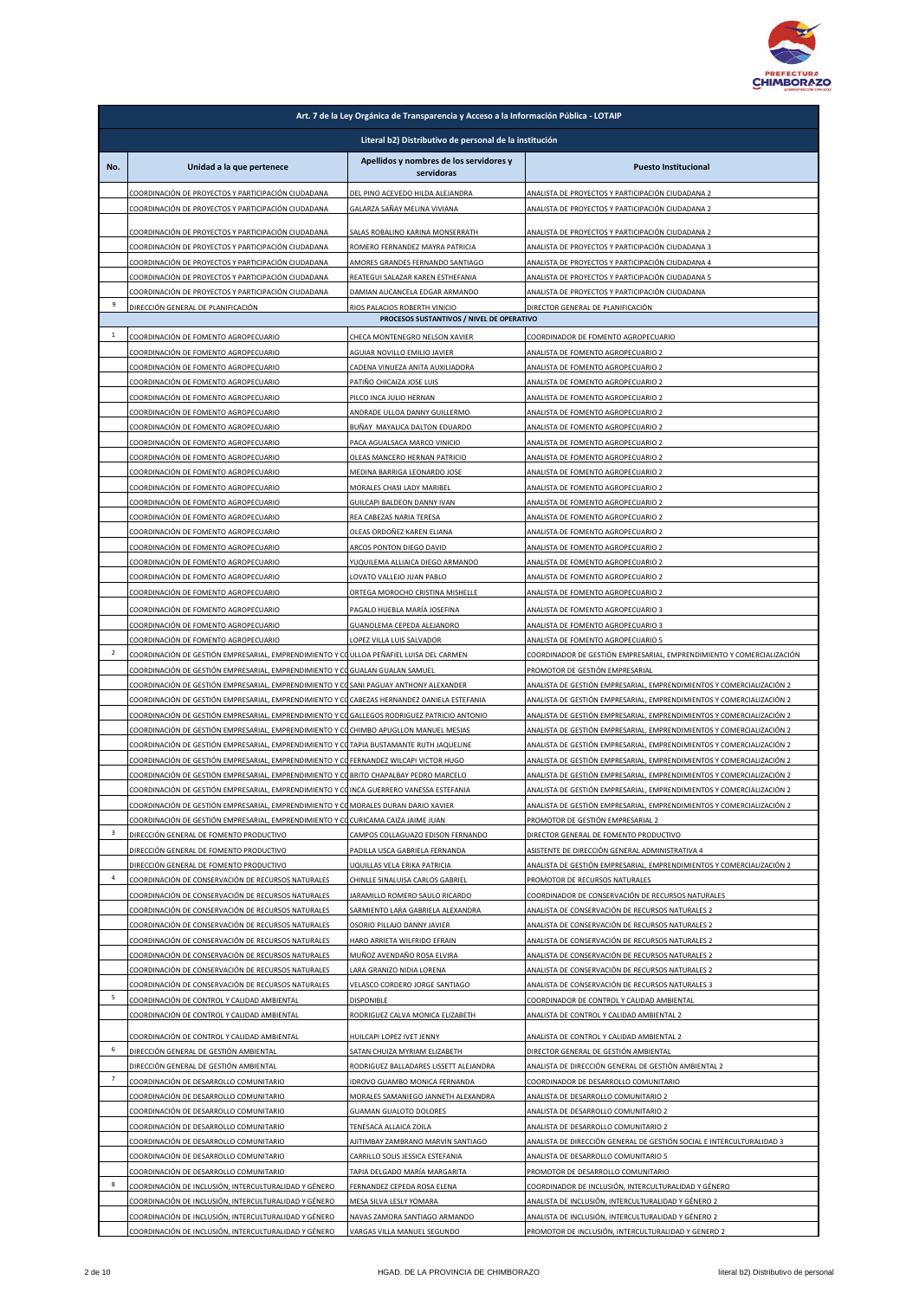

|                | Art. 7 de la Ley Orgánica de Transparencia y Acceso a la Información Pública - LOTAIP                                                                                                       |                                                                         |                                                                                                                                                |  |  |
|----------------|---------------------------------------------------------------------------------------------------------------------------------------------------------------------------------------------|-------------------------------------------------------------------------|------------------------------------------------------------------------------------------------------------------------------------------------|--|--|
|                | Literal b2) Distributivo de personal de la institución                                                                                                                                      |                                                                         |                                                                                                                                                |  |  |
| No.            | Unidad a la que pertenece                                                                                                                                                                   | Apellidos y nombres de los servidores y<br>servidoras                   | <b>Puesto Institucional</b>                                                                                                                    |  |  |
|                | COORDINACIÓN DE PROYECTOS Y PARTICIPACIÓN CIUDADANA                                                                                                                                         | DEL PINO ACEVEDO HILDA ALEJANDRA                                        | ANALISTA DE PROYECTOS Y PARTICIPACIÓN CIUDADANA 2                                                                                              |  |  |
|                | COORDINACIÓN DE PROYECTOS Y PARTICIPACIÓN CIUDADANA                                                                                                                                         | GALARZA SAÑAY MELINA VIVIANA                                            | ANALISTA DE PROYECTOS Y PARTICIPACIÓN CIUDADANA 2                                                                                              |  |  |
|                | COORDINACIÓN DE PROYECTOS Y PARTICIPACIÓN CIUDADANA                                                                                                                                         | SALAS ROBALINO KARINA MONSERRATH                                        | ANALISTA DE PROYECTOS Y PARTICIPACIÓN CIUDADANA 2                                                                                              |  |  |
|                | COORDINACIÓN DE PROYECTOS Y PARTICIPACIÓN CIUDADANA                                                                                                                                         | ROMERO FERNANDEZ MAYRA PATRICIA                                         | ANALISTA DE PROYECTOS Y PARTICIPACIÓN CIUDADANA 3                                                                                              |  |  |
|                | COORDINACIÓN DE PROYECTOS Y PARTICIPACIÓN CIUDADANA<br>COORDINACIÓN DE PROYECTOS Y PARTICIPACIÓN CIUDADANA                                                                                  | AMORES GRANDES FERNANDO SANTIAGO<br>REATEGUI SALAZAR KAREN ESTHEFANIA   | ANALISTA DE PROYECTOS Y PARTICIPACIÓN CIUDADANA 4<br>ANALISTA DE PROYECTOS Y PARTICIPACIÓN CIUDADANA 5                                         |  |  |
|                | COORDINACIÓN DE PROYECTOS Y PARTICIPACIÓN CIUDADANA                                                                                                                                         | DAMIAN AUCANCELA EDGAR ARMANDO                                          | ANALISTA DE PROYECTOS Y PARTICIPACIÓN CIUDADANA                                                                                                |  |  |
| 9              | DIRECCIÓN GENERAL DE PLANIFICACIÓN                                                                                                                                                          | RIOS PALACIOS ROBERTH VINICIO                                           | DIRECTOR GENERAL DE PLANIFICACIÓN                                                                                                              |  |  |
|                |                                                                                                                                                                                             | PROCESOS SUSTANTIVOS / NIVEL DE OPERATIVO                               |                                                                                                                                                |  |  |
| $\mathbf{1}$   | COORDINACIÓN DE FOMENTO AGROPECUARIO<br>COORDINACIÓN DE FOMENTO AGROPECUARIO                                                                                                                | CHECA MONTENEGRO NELSON XAVIER<br>AGUIAR NOVILLO EMILIO JAVIER          | COORDINADOR DE FOMENTO AGROPECUARIO<br>ANALISTA DE FOMENTO AGROPECUARIO 2                                                                      |  |  |
|                | COORDINACIÓN DE FOMENTO AGROPECUARIO                                                                                                                                                        | CADENA VINUEZA ANITA AUXILIADORA                                        | ANALISTA DE FOMENTO AGROPECUARIO 2                                                                                                             |  |  |
|                | COORDINACIÓN DE FOMENTO AGROPECUARIO                                                                                                                                                        | PATIÑO CHICAIZA JOSE LUIS                                               | ANALISTA DE FOMENTO AGROPECUARIO 2                                                                                                             |  |  |
|                | COORDINACIÓN DE FOMENTO AGROPECUARIO                                                                                                                                                        | PILCO INCA JULIO HERNAN                                                 | ANALISTA DE FOMENTO AGROPECUARIO 2                                                                                                             |  |  |
|                | COORDINACIÓN DE FOMENTO AGROPECUARIO                                                                                                                                                        | ANDRADE ULLOA DANNY GUILLERMO                                           | ANALISTA DE FOMENTO AGROPECUARIO 2                                                                                                             |  |  |
|                | COORDINACIÓN DE FOMENTO AGROPECUARIO<br>COORDINACIÓN DE FOMENTO AGROPECUARIO                                                                                                                | BUÑAY MAYALICA DALTON EDUARDO<br>PACA AGUALSACA MARCO VINICIO           | ANALISTA DE FOMENTO AGROPECUARIO 2<br>ANALISTA DE FOMENTO AGROPECUARIO 2                                                                       |  |  |
|                | COORDINACIÓN DE FOMENTO AGROPECUARIO                                                                                                                                                        | OLEAS MANCERO HERNAN PATRICIO                                           | ANALISTA DE FOMENTO AGROPECUARIO 2                                                                                                             |  |  |
|                | COORDINACIÓN DE FOMENTO AGROPECUARIO                                                                                                                                                        | MEDINA BARRIGA LEONARDO JOSE                                            | ANALISTA DE FOMENTO AGROPECUARIO 2                                                                                                             |  |  |
|                | COORDINACIÓN DE FOMENTO AGROPECUARIO                                                                                                                                                        | MORALES CHASI LADY MARIBEL                                              | ANALISTA DE FOMENTO AGROPECUARIO 2                                                                                                             |  |  |
|                | COORDINACIÓN DE FOMENTO AGROPECUARIO<br>COORDINACIÓN DE FOMENTO AGROPECUARIO                                                                                                                | GUILCAPI BALDEON DANNY IVAN                                             | ANALISTA DE FOMENTO AGROPECUARIO 2<br>ANALISTA DE FOMENTO AGROPECUARIO 2                                                                       |  |  |
|                | COORDINACIÓN DE FOMENTO AGROPECUARIO                                                                                                                                                        | REA CABEZAS NARIA TERESA<br>OLEAS ORDOÑEZ KAREN ELIANA                  | ANALISTA DE FOMENTO AGROPECUARIO 2                                                                                                             |  |  |
|                | COORDINACIÓN DE FOMENTO AGROPECUARIO                                                                                                                                                        | ARCOS PONTON DIEGO DAVID                                                | ANALISTA DE FOMENTO AGROPECUARIO 2                                                                                                             |  |  |
|                | COORDINACIÓN DE FOMENTO AGROPECUARIO                                                                                                                                                        | YUQUILEMA ALLIAICA DIEGO ARMANDO                                        | ANALISTA DE FOMENTO AGROPECUARIO 2                                                                                                             |  |  |
|                | COORDINACIÓN DE FOMENTO AGROPECUARIO                                                                                                                                                        | LOVATO VALLEJO JUAN PABLO                                               | ANALISTA DE FOMENTO AGROPECUARIO 2                                                                                                             |  |  |
|                | COORDINACIÓN DE FOMENTO AGROPECUARIO                                                                                                                                                        | ORTEGA MOROCHO CRISTINA MISHELLE                                        | ANALISTA DE FOMENTO AGROPECUARIO 2                                                                                                             |  |  |
|                | COORDINACIÓN DE FOMENTO AGROPECUARIO<br>COORDINACIÓN DE FOMENTO AGROPECUARIO                                                                                                                | PAGALO HUEBLA MARÍA JOSEFINA<br>GUANOLEMA CEPEDA ALEJANDRO              | ANALISTA DE FOMENTO AGROPECUARIO 3<br>ANALISTA DE FOMENTO AGROPECUARIO 3                                                                       |  |  |
|                | COORDINACIÓN DE FOMENTO AGROPECUARIO                                                                                                                                                        | LOPEZ VILLA LUIS SALVADOR                                               | ANALISTA DE FOMENTO AGROPECUARIO 5                                                                                                             |  |  |
| $\overline{2}$ | COORDINACIÓN DE GESTIÓN EMPRESARIAL, EMPRENDIMIENTO Y COULLOA PEÑAFIEL LUISA DEL CARMEN                                                                                                     |                                                                         | COORDINADOR DE GESTIÓN EMPRESARIAL, EMPRENDIMIENTO Y COMERCIALIZACIÓN                                                                          |  |  |
|                | COORDINACIÓN DE GESTIÓN EMPRESARIAL, EMPRENDIMIENTO Y COGUALAN GUALAN SAMUEL                                                                                                                |                                                                         | PROMOTOR DE GESTIÓN EMPRESARIAL                                                                                                                |  |  |
|                | COORDINACIÓN DE GESTIÓN EMPRESARIAL, EMPRENDIMIENTO Y COSANI PAGUAY ANTHONY ALEXANDER                                                                                                       |                                                                         | ANALISTA DE GESTIÓN EMPRESARIAL, EMPRENDIMIENTOS Y COMERCIALIZACIÓN 2                                                                          |  |  |
|                | COORDINACIÓN DE GESTIÓN EMPRESARIAL, EMPRENDIMIENTO Y CO CABEZAS HERNANDEZ DANIELA ESTEFANIA<br>COORDINACIÓN DE GESTIÓN EMPRESARIAL, EMPRENDIMIENTO Y COGALLEGOS RODRIGUEZ PATRICIO ANTONIO |                                                                         | ANALISTA DE GESTIÓN EMPRESARIAL, EMPRENDIMIENTOS Y COMERCIALIZACIÓN 2<br>ANALISTA DE GESTIÓN EMPRESARIAL, EMPRENDIMIENTOS Y COMERCIALIZACIÓN 2 |  |  |
|                | COORDINACIÓN DE GESTIÓN EMPRESARIAL, EMPRENDIMIENTO Y COCHIMBO APUGLLON MANUEL MESIAS                                                                                                       |                                                                         | ANALISTA DE GESTIÓN EMPRESARIAL, EMPRENDIMIENTOS Y COMERCIALIZACIÓN 2                                                                          |  |  |
|                | COORDINACIÓN DE GESTIÓN EMPRESARIAL, EMPRENDIMIENTO Y COTAPIA BUSTAMANTE RUTH JAQUELINE                                                                                                     |                                                                         | ANALISTA DE GESTIÓN EMPRESARIAL. EMPRENDIMIENTOS Y COMERCIALIZACIÓN 2                                                                          |  |  |
|                | COORDINACIÓN DE GESTIÓN EMPRESARIAL, EMPRENDIMIENTO Y COFERNANDEZ WILCAPI VICTOR HUGO<br>COORDINACIÓN DE GESTIÓN EMPRESARIAL, EMPRENDIMIENTO Y COBRITO CHAPALBAY PEDRO MARCELO              |                                                                         | ANALISTA DE GESTIÓN EMPRESARIAL, EMPRENDIMIENTOS Y COMERCIALIZACIÓN 2<br>ANALISTA DE GESTIÓN EMPRESARIAL, EMPRENDIMIENTOS Y COMERCIALIZACIÓN 2 |  |  |
|                |                                                                                                                                                                                             |                                                                         |                                                                                                                                                |  |  |
|                | COORDINACIÓN DE GESTIÓN EMPRESARIAL, EMPRENDIMIENTO Y COINCA GUERRERO VANESSA ESTEFANIA                                                                                                     |                                                                         | ANALISTA DE GESTIÓN EMPRESARIAL, EMPRENDIMIENTOS Y COMERCIALIZACIÓN 2                                                                          |  |  |
|                | COORDINACIÓN DE GESTIÓN EMPRESARIAL, EMPRENDIMIENTO Y COMORALES DURAN DARIO XAVIER                                                                                                          |                                                                         | ANALISTA DE GESTIÓN EMPRESARIAL, EMPRENDIMIENTOS Y COMERCIALIZACIÓN 2                                                                          |  |  |
|                | COORDINACIÓN DE GESTIÓN EMPRESARIAL, EMPRENDIMIENTO Y CO CURICAMA CAIZA JAIME JUAN                                                                                                          |                                                                         | PROMOTOR DE GESTIÓN EMPRESARIAL 2                                                                                                              |  |  |
| 3              | DIRECCIÓN GENERAL DE FOMENTO PRODUCTIVO                                                                                                                                                     | CAMPOS COLLAGUAZO EDISON FERNANDO                                       | DIRECTOR GENERAL DE FOMENTO PRODUCTIVO                                                                                                         |  |  |
|                | DIRECCIÓN GENERAL DE FOMENTO PRODUCTIVO<br>DIRECCIÓN GENERAL DE FOMENTO PRODUCTIVO                                                                                                          | PADILLA USCA GABRIELA FERNANDA<br>JQUILLAS VELA ERIKA PATRICIA          | ASISTENTE DE DIRECCIÓN GENERAL ADMINISTRATIVA 4<br>ANALISTA DE GESTIÓN EMPRESARIAL, EMPRENDIMIENTOS Y COMERCIALIZACIÓN 2                       |  |  |
| 4              | COORDINACIÓN DE CONSERVACIÓN DE RECURSOS NATURALES                                                                                                                                          | CHINLLE SINALUISA CARLOS GABRIEL                                        | PROMOTOR DE RECURSOS NATURALES                                                                                                                 |  |  |
|                | COORDINACIÓN DE CONSERVACIÓN DE RECURSOS NATURALES                                                                                                                                          | ARAMILLO ROMERO SAULO RICARDO                                           | COORDINADOR DE CONSERVACIÓN DE RECURSOS NATURALES                                                                                              |  |  |
|                | COORDINACIÓN DE CONSERVACIÓN DE RECURSOS NATURALES                                                                                                                                          | SARMIENTO LARA GABRIELA ALEXANDRA                                       | ANALISTA DE CONSERVACIÓN DE RECURSOS NATURALES 2                                                                                               |  |  |
|                | COORDINACIÓN DE CONSERVACIÓN DE RECURSOS NATURALES                                                                                                                                          | OSORIO PILLAJO DANNY JAVIER                                             | ANALISTA DE CONSERVACIÓN DE RECURSOS NATURALES 2                                                                                               |  |  |
|                | COORDINACIÓN DE CONSERVACIÓN DE RECURSOS NATURALES<br>COORDINACIÓN DE CONSERVACIÓN DE RECURSOS NATURALES                                                                                    | HARO ARRIETA WILFRIDO EFRAIN<br>MUÑOZ AVENDAÑO ROSA ELVIRA              | ANALISTA DE CONSERVACIÓN DE RECURSOS NATURALES 2<br>ANALISTA DE CONSERVACIÓN DE RECURSOS NATURALES 2                                           |  |  |
|                | COORDINACIÓN DE CONSERVACIÓN DE RECURSOS NATURALES                                                                                                                                          | LARA GRANIZO NIDIA LORENA                                               | ANALISTA DE CONSERVACIÓN DE RECURSOS NATURALES 2                                                                                               |  |  |
|                | COORDINACIÓN DE CONSERVACIÓN DE RECURSOS NATURALES                                                                                                                                          | VELASCO CORDERO JORGE SANTIAGO                                          | ANALISTA DE CONSERVACIÓN DE RECURSOS NATURALES 3                                                                                               |  |  |
| 5              | COORDINACIÓN DE CONTROL Y CALIDAD AMBIENTAL                                                                                                                                                 | <b>DISPONIBLE</b>                                                       | COORDINADOR DE CONTROL Y CALIDAD AMBIENTAL                                                                                                     |  |  |
|                | COORDINACIÓN DE CONTROL Y CALIDAD AMBIENTAL                                                                                                                                                 | RODRIGUEZ CALVA MONICA ELIZABETH                                        | ANALISTA DE CONTROL Y CALIDAD AMBIENTAL 2                                                                                                      |  |  |
| 6              | COORDINACIÓN DE CONTROL Y CALIDAD AMBIENTAL                                                                                                                                                 | HUILCAPI LOPEZ IVET JENNY                                               | ANALISTA DE CONTROL Y CALIDAD AMBIENTAL 2                                                                                                      |  |  |
|                | DIRECCIÓN GENERAL DE GESTIÓN AMBIENTAL<br>DIRECCIÓN GENERAL DE GESTIÓN AMBIENTAL                                                                                                            | SATAN CHUIZA MYRIAM ELIZABETH<br>RODRIGUEZ BALLADARES LISSETT ALEJANDRA | DIRECTOR GENERAL DE GESTIÓN AMBIENTAL<br>ANALISTA DE DIRECCIÓN GENERAL DE GESTIÓN AMBIENTAL 2                                                  |  |  |
| $\overline{7}$ | COORDINACIÓN DE DESARROLLO COMUNITARIO                                                                                                                                                      | IDROVO GUAMBO MONICA FERNANDA                                           | COORDINADOR DE DESARROLLO COMUNITARIO                                                                                                          |  |  |
|                | COORDINACIÓN DE DESARROLLO COMUNITARIO                                                                                                                                                      | MORALES SAMANIEGO JANNETH ALEXANDRA                                     | ANALISTA DE DESARROLLO COMUNITARIO 2                                                                                                           |  |  |
|                | COORDINACIÓN DE DESARROLLO COMUNITARIO                                                                                                                                                      | <b>GUAMAN GUALOTO DOLORES</b>                                           | ANALISTA DE DESARROLLO COMUNITARIO 2                                                                                                           |  |  |
|                | COORDINACIÓN DE DESARROLLO COMUNITARIO<br>COORDINACIÓN DE DESARROLLO COMUNITARIO                                                                                                            | TENESACA ALLAICA ZOILA<br>AJITIMBAY ZAMBRANO MARVIN SANTIAGO            | ANALISTA DE DESARROLLO COMUNITARIO 2<br>ANALISTA DE DIRECCIÓN GENERAL DE GESTIÓN SOCIAL E INTERCULTURALIDAD 3                                  |  |  |
|                | COORDINACIÓN DE DESARROLLO COMUNITARIO                                                                                                                                                      | CARRILLO SOLIS JESSICA ESTEFANIA                                        | ANALISTA DE DESARROLLO COMUNITARIO 5                                                                                                           |  |  |
|                | COORDINACIÓN DE DESARROLLO COMUNITARIO                                                                                                                                                      | TAPIA DELGADO MARÍA MARGARITA                                           | PROMOTOR DE DESARROLLO COMUNITARIO                                                                                                             |  |  |
| 8              | COORDINACIÓN DE INCLUSIÓN, INTERCULTURALIDAD Y GÉNERO                                                                                                                                       | FERNANDEZ CEPEDA ROSA ELENA                                             | COORDINADOR DE INCLUSIÓN, INTERCULTURALIDAD Y GÉNERO                                                                                           |  |  |
|                | COORDINACIÓN DE INCLUSIÓN, INTERCULTURALIDAD Y GÉNERO<br>COORDINACIÓN DE INCLUSIÓN, INTERCULTURALIDAD Y GÉNERO                                                                              | MESA SILVA LESLY YOMARA<br>NAVAS ZAMORA SANTIAGO ARMANDO                | ANALISTA DE INCLUSIÓN, INTERCULTURALIDAD Y GÉNERO 2<br>ANALISTA DE INCLUSIÓN, INTERCULTURALIDAD Y GÉNERO 2                                     |  |  |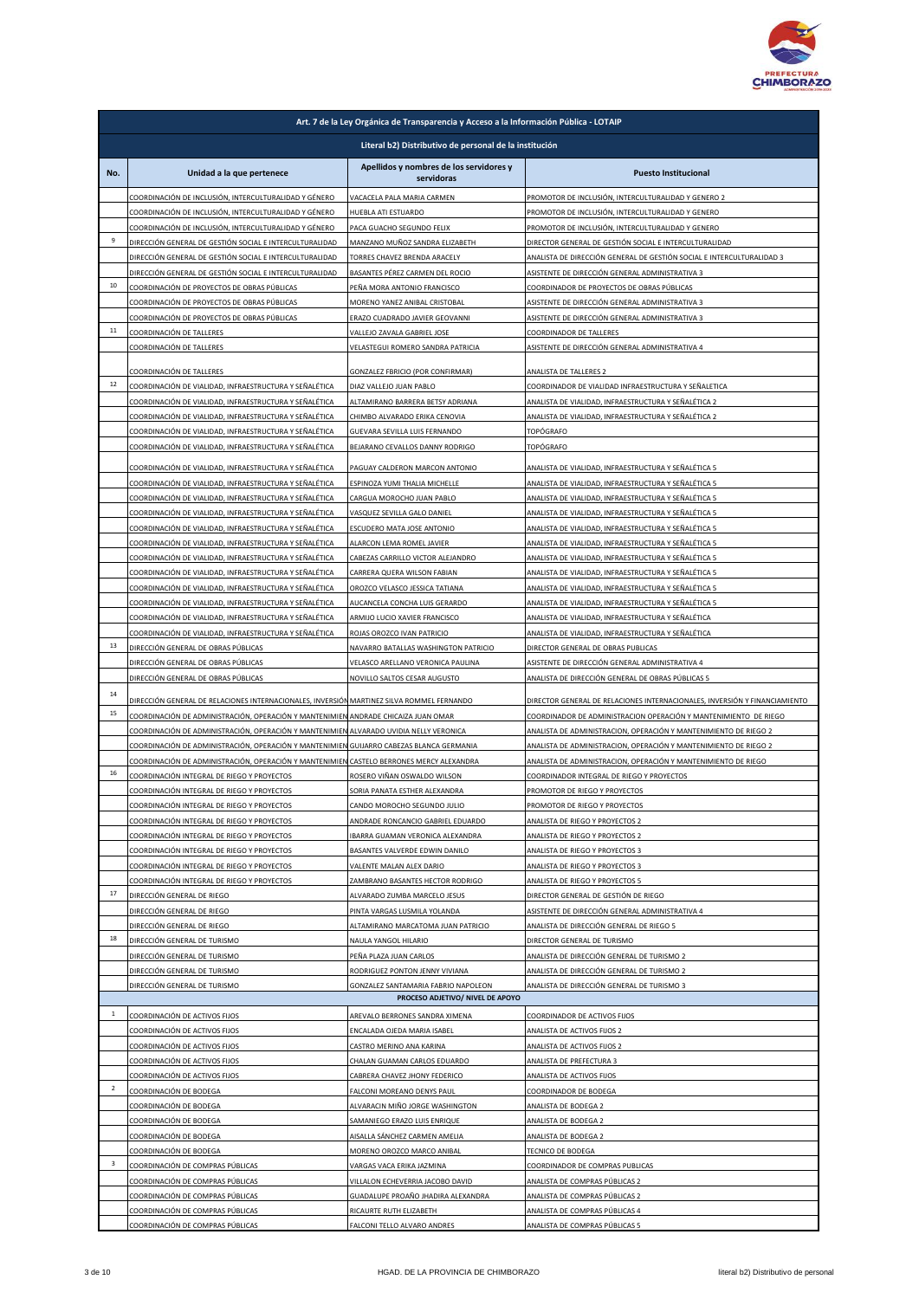

|              | Art. 7 de la Ley Orgánica de Transparencia y Acceso a la Información Pública - LOTAIP                                                                                              |                                                                         |                                                                                                                                      |  |
|--------------|------------------------------------------------------------------------------------------------------------------------------------------------------------------------------------|-------------------------------------------------------------------------|--------------------------------------------------------------------------------------------------------------------------------------|--|
|              | Literal b2) Distributivo de personal de la institución                                                                                                                             |                                                                         |                                                                                                                                      |  |
| No.          | Unidad a la que pertenece                                                                                                                                                          | Apellidos y nombres de los servidores y<br>servidoras                   | <b>Puesto Institucional</b>                                                                                                          |  |
|              | COORDINACIÓN DE INCLUSIÓN, INTERCULTURALIDAD Y GÉNERO                                                                                                                              | VACACELA PALA MARIA CARMEN                                              | PROMOTOR DE INCLUSIÓN, INTERCULTURALIDAD Y GENERO 2                                                                                  |  |
|              | COORDINACIÓN DE INCLUSIÓN, INTERCULTURALIDAD Y GÉNERO<br>COORDINACIÓN DE INCLUSIÓN, INTERCULTURALIDAD Y GÉNERO                                                                     | HUEBLA ATI ESTUARDO<br>PACA GUACHO SEGUNDO FELIX                        | PROMOTOR DE INCLUSIÓN, INTERCULTURALIDAD Y GENERO<br>PROMOTOR DE INCLUSIÓN, INTERCULTURALIDAD Y GENERO                               |  |
| 9            | DIRECCIÓN GENERAL DE GESTIÓN SOCIAL E INTERCULTURALIDAD                                                                                                                            | MANZANO MUÑOZ SANDRA ELIZABETH                                          | DIRECTOR GENERAL DE GESTIÓN SOCIAL E INTERCULTURALIDAD                                                                               |  |
|              | DIRECCIÓN GENERAL DE GESTIÓN SOCIAL E INTERCULTURALIDAD                                                                                                                            | TORRES CHAVEZ BRENDA ARACELY                                            | ANALISTA DE DIRECCIÓN GENERAL DE GESTIÓN SOCIAL E INTERCULTURALIDAD 3                                                                |  |
| 10           | DIRECCIÓN GENERAL DE GESTIÓN SOCIAL E INTERCULTURALIDAD                                                                                                                            | BASANTES PÉREZ CARMEN DEL ROCIO                                         | ASISTENTE DE DIRECCIÓN GENERAL ADMINISTRATIVA 3                                                                                      |  |
|              | COORDINACIÓN DE PROYECTOS DE OBRAS PÚBLICAS<br>COORDINACIÓN DE PROYECTOS DE OBRAS PÚBLICAS                                                                                         | PEÑA MORA ANTONIO FRANCISCO<br>MORENO YANEZ ANIBAL CRISTOBAL            | COORDINADOR DE PROYECTOS DE OBRAS PÚBLICAS<br>ASISTENTE DE DIRECCIÓN GENERAL ADMINISTRATIVA 3                                        |  |
|              | COORDINACIÓN DE PROYECTOS DE OBRAS PÚBLICAS                                                                                                                                        | ERAZO CUADRADO JAVIER GEOVANNI                                          | ASISTENTE DE DIRECCIÓN GENERAL ADMINISTRATIVA 3                                                                                      |  |
| 11           | COORDINACIÓN DE TALLERES                                                                                                                                                           | VALLEJO ZAVALA GABRIEL JOSE                                             | COORDINADOR DE TALLERES                                                                                                              |  |
|              | COORDINACIÓN DE TALLERES                                                                                                                                                           | VELASTEGUI ROMERO SANDRA PATRICIA                                       | ASISTENTE DE DIRECCIÓN GENERAL ADMINISTRATIVA 4                                                                                      |  |
|              | COORDINACIÓN DE TALLERES                                                                                                                                                           | GONZALEZ FBRICIO (POR CONFIRMAR)                                        | ANALISTA DE TALLERES 2                                                                                                               |  |
| 12           | COORDINACIÓN DE VIALIDAD, INFRAESTRUCTURA Y SEÑALÉTICA                                                                                                                             | DIAZ VALLEJO JUAN PABLO                                                 | COORDINADOR DE VIALIDAD INFRAESTRUCTURA Y SEÑALETICA                                                                                 |  |
|              | COORDINACIÓN DE VIALIDAD, INFRAESTRUCTURA Y SEÑALÉTICA<br>COORDINACIÓN DE VIALIDAD, INFRAESTRUCTURA Y SEÑALÉTICA                                                                   | ALTAMIRANO BARRERA BETSY ADRIANA<br>CHIMBO ALVARADO ERIKA CENOVIA       | ANALISTA DE VIALIDAD, INFRAESTRUCTURA Y SEÑALÉTICA 2<br>ANALISTA DE VIALIDAD, INFRAESTRUCTURA Y SEÑALÉTICA 2                         |  |
|              | COORDINACIÓN DE VIALIDAD, INFRAESTRUCTURA Y SEÑALÉTICA                                                                                                                             | GUEVARA SEVILLA LUIS FERNANDO                                           | TOPÓGRAFO                                                                                                                            |  |
|              | COORDINACIÓN DE VIALIDAD, INFRAESTRUCTURA Y SEÑALÉTICA                                                                                                                             | BEJARANO CEVALLOS DANNY RODRIGO                                         | TOPÓGRAFO                                                                                                                            |  |
|              | COORDINACIÓN DE VIALIDAD, INFRAESTRUCTURA Y SEÑALÉTICA                                                                                                                             | PAGUAY CALDERON MARCON ANTONIO                                          | ANALISTA DE VIALIDAD, INFRAESTRUCTURA Y SEÑALÉTICA 5                                                                                 |  |
|              | COORDINACIÓN DE VIALIDAD, INFRAESTRUCTURA Y SEÑALÉTICA                                                                                                                             | ESPINOZA YUMI THALIA MICHELLE                                           | ANALISTA DE VIALIDAD, INFRAESTRUCTURA Y SEÑALÉTICA 5                                                                                 |  |
|              | COORDINACIÓN DE VIALIDAD, INFRAESTRUCTURA Y SEÑALÉTICA<br>COORDINACIÓN DE VIALIDAD, INFRAESTRUCTURA Y SEÑALÉTICA                                                                   | CARGUA MOROCHO JUAN PABLO<br>VASQUEZ SEVILLA GALO DANIEL                | ANALISTA DE VIALIDAD, INFRAESTRUCTURA Y SEÑALÉTICA 5<br>ANALISTA DE VIALIDAD, INFRAESTRUCTURA Y SEÑALÉTICA 5                         |  |
|              | COORDINACIÓN DE VIALIDAD, INFRAESTRUCTURA Y SEÑALÉTICA                                                                                                                             | ESCUDERO MATA JOSE ANTONIO                                              | ANALISTA DE VIALIDAD, INFRAESTRUCTURA Y SEÑALÉTICA 5                                                                                 |  |
|              | COORDINACIÓN DE VIALIDAD, INFRAESTRUCTURA Y SEÑALÉTICA                                                                                                                             | ALARCON LEMA ROMEL JAVIER                                               | ANALISTA DE VIALIDAD, INFRAESTRUCTURA Y SEÑALÉTICA 5                                                                                 |  |
|              | COORDINACIÓN DE VIALIDAD, INFRAESTRUCTURA Y SEÑALÉTICA                                                                                                                             | CABEZAS CARRILLO VICTOR ALEJANDRO                                       | ANALISTA DE VIALIDAD, INFRAESTRUCTURA Y SEÑALÉTICA 5                                                                                 |  |
|              | COORDINACIÓN DE VIALIDAD, INFRAESTRUCTURA Y SEÑALÉTICA<br>COORDINACIÓN DE VIALIDAD, INFRAESTRUCTURA Y SEÑALÉTICA                                                                   | CARRERA QUERA WILSON FABIAN                                             | ANALISTA DE VIALIDAD, INFRAESTRUCTURA Y SEÑALÉTICA 5                                                                                 |  |
|              | COORDINACIÓN DE VIALIDAD, INFRAESTRUCTURA Y SEÑALÉTICA                                                                                                                             | OROZCO VELASCO JESSICA TATIANA<br>AUCANCELA CONCHA LUIS GERARDO         | ANALISTA DE VIALIDAD, INFRAESTRUCTURA Y SEÑALÉTICA 5<br>ANALISTA DE VIALIDAD, INFRAESTRUCTURA Y SEÑALÉTICA 5                         |  |
|              | COORDINACIÓN DE VIALIDAD, INFRAESTRUCTURA Y SEÑALÉTICA                                                                                                                             | ARMIJO LUCIO XAVIER FRANCISCO                                           | ANALISTA DE VIALIDAD, INFRAESTRUCTURA Y SEÑALÉTICA                                                                                   |  |
|              | COORDINACIÓN DE VIALIDAD, INFRAESTRUCTURA Y SEÑALÉTICA                                                                                                                             | ROJAS OROZCO IVAN PATRICIO                                              | ANALISTA DE VIALIDAD, INFRAESTRUCTURA Y SEÑALÉTICA                                                                                   |  |
| 13           | DIRECCIÓN GENERAL DE OBRAS PÚBLICAS                                                                                                                                                | NAVARRO BATALLAS WASHINGTON PATRICIO                                    | DIRECTOR GENERAL DE OBRAS PUBLICAS                                                                                                   |  |
|              | DIRECCIÓN GENERAL DE OBRAS PÚBLICAS<br>DIRECCIÓN GENERAL DE OBRAS PÚBLICAS                                                                                                         | VELASCO ARELLANO VERONICA PAULINA<br>NOVILLO SALTOS CESAR AUGUSTO       | ASISTENTE DE DIRECCIÓN GENERAL ADMINISTRATIVA 4<br>ANALISTA DE DIRECCIÓN GENERAL DE OBRAS PÚBLICAS 5                                 |  |
| 14           | DIRECCIÓN GENERAL DE RELACIONES INTERNACIONALES, INVERSIÓN MARTINEZ SILVA ROMMEL FERNANDO                                                                                          |                                                                         | DIRECTOR GENERAL DE RELACIONES INTERNACIONALES, INVERSIÓN Y FINANCIAMIENTO                                                           |  |
| 15           | COORDINACIÓN DE ADMINISTRACIÓN, OPERACIÓN Y MANTENIMIEN ANDRADE CHICAIZA JUAN OMAR                                                                                                 |                                                                         | COORDINADOR DE ADMINISTRACION OPERACIÓN Y MANTENIMIENTO DE RIEGO                                                                     |  |
|              | COORDINACIÓN DE ADMINISTRACIÓN, OPERACIÓN Y MANTENIMIEN ALVARADO UVIDIA NELLY VERONICA<br>COORDINACIÓN DE ADMINISTRACIÓN, OPERACIÓN Y MANTENIMIEN GUIJARRO CABEZAS BLANCA GERMANIA |                                                                         | ANALISTA DE ADMINISTRACION, OPERACIÓN Y MANTENIMIENTO DE RIEGO 2<br>ANALISTA DE ADMINISTRACION, OPERACIÓN Y MANTENIMIENTO DE RIEGO 2 |  |
|              | COORDINACIÓN DE ADMINISTRACIÓN, OPERACIÓN Y MANTENIMIEN                                                                                                                            | CASTELO BERRONES MERCY ALEXANDRA                                        | ANALISTA DE ADMINISTRACION, OPERACIÓN Y MANTENIMIENTO DE RIEGO                                                                       |  |
| 16           | COORDINACIÓN INTEGRAL DE RIEGO Y PROYECTOS                                                                                                                                         | ROSERO VIÑAN OSWALDO WILSON                                             | COORDINADOR INTEGRAL DE RIEGO Y PROYECTOS                                                                                            |  |
|              | COORDINACIÓN INTEGRAL DE RIEGO Y PROYECTOS<br>COORDINACIÓN INTEGRAL DE RIEGO Y PROYECTOS                                                                                           | SORIA PANATA ESTHER ALEXANDRA<br>CANDO MOROCHO SEGUNDO IULIO            | PROMOTOR DE RIEGO Y PROYECTOS<br>PROMOTOR DE RIEGO Y PROYECTOS                                                                       |  |
|              | COORDINACIÓN INTEGRAL DE RIEGO Y PROYECTOS                                                                                                                                         | ANDRADE RONCANCIO GABRIEL EDUARDO                                       | ANALISTA DE RIEGO Y PROYECTOS 2                                                                                                      |  |
|              | COORDINACIÓN INTEGRAL DE RIEGO Y PROYECTOS                                                                                                                                         | BARRA GUAMAN VERONICA ALEXANDRA                                         | ANALISTA DE RIEGO Y PROYECTOS 2                                                                                                      |  |
|              | COORDINACIÓN INTEGRAL DE RIEGO Y PROYECTOS                                                                                                                                         | BASANTES VALVERDE EDWIN DANILO                                          | ANALISTA DE RIEGO Y PROYECTOS 3                                                                                                      |  |
|              | COORDINACIÓN INTEGRAL DE RIEGO Y PROYECTOS<br>COORDINACIÓN INTEGRAL DE RIEGO Y PROYECTOS                                                                                           | VALENTE MALAN ALEX DARIO<br>ZAMBRANO BASANTES HECTOR RODRIGO            | ANALISTA DE RIEGO Y PROYECTOS 3<br>ANALISTA DE RIEGO Y PROYECTOS 5                                                                   |  |
| 17           | DIRECCIÓN GENERAL DE RIEGO                                                                                                                                                         | ALVARADO ZUMBA MARCELO JESUS                                            | DIRECTOR GENERAL DE GESTIÓN DE RIEGO                                                                                                 |  |
|              | DIRECCIÓN GENERAL DE RIEGO                                                                                                                                                         | PINTA VARGAS LUSMILA YOLANDA                                            | ASISTENTE DE DIRECCIÓN GENERAL ADMINISTRATIVA 4                                                                                      |  |
|              | DIRECCIÓN GENERAL DE RIEGO                                                                                                                                                         | ALTAMIRANO MARCATOMA JUAN PATRICIO                                      | ANALISTA DE DIRECCIÓN GENERAL DE RIEGO 5                                                                                             |  |
| 18           | DIRECCIÓN GENERAL DE TURISMO<br>DIRECCIÓN GENERAL DE TURISMO                                                                                                                       | NAULA YANGOL HILARIO<br>PEÑA PLAZA JUAN CARLOS                          | DIRECTOR GENERAL DE TURISMO<br>ANALISTA DE DIRECCIÓN GENERAL DE TURISMO 2                                                            |  |
|              | DIRECCIÓN GENERAL DE TURISMO                                                                                                                                                       | RODRIGUEZ PONTON JENNY VIVIANA                                          | ANALISTA DE DIRECCIÓN GENERAL DE TURISMO 2                                                                                           |  |
|              | DIRECCIÓN GENERAL DE TURISMO                                                                                                                                                       | GONZALEZ SANTAMARIA FABRIO NAPOLEON<br>PROCESO ADJETIVO/ NIVEL DE APOYO | ANALISTA DE DIRECCIÓN GENERAL DE TURISMO 3                                                                                           |  |
| $\mathbf{1}$ | COORDINACIÓN DE ACTIVOS FIJOS                                                                                                                                                      | AREVALO BERRONES SANDRA XIMENA                                          | COORDINADOR DE ACTIVOS FIJOS                                                                                                         |  |
|              | COORDINACIÓN DE ACTIVOS FIJOS                                                                                                                                                      | ENCALADA OJEDA MARIA ISABEL                                             | ANALISTA DE ACTIVOS FIJOS 2                                                                                                          |  |
|              | COORDINACIÓN DE ACTIVOS FIJOS                                                                                                                                                      | CASTRO MERINO ANA KARINA                                                | ANALISTA DE ACTIVOS FIJOS 2                                                                                                          |  |
|              | COORDINACIÓN DE ACTIVOS FIJOS<br>COORDINACIÓN DE ACTIVOS FIJOS                                                                                                                     | CHALAN GUAMAN CARLOS EDUARDO<br>CABRERA CHAVEZ JHONY FEDERICO           | ANALISTA DE PREFECTURA 3<br>ANALISTA DE ACTIVOS FIJOS                                                                                |  |
| $\mathbf 2$  | COORDINACIÓN DE BODEGA                                                                                                                                                             | FALCONI MOREANO DENYS PAUL                                              | COORDINADOR DE BODEGA                                                                                                                |  |
|              | COORDINACIÓN DE BODEGA                                                                                                                                                             | ALVARACIN MIÑO JORGE WASHINGTON                                         | ANALISTA DE BODEGA 2                                                                                                                 |  |
|              | COORDINACIÓN DE BODEGA                                                                                                                                                             | SAMANIEGO ERAZO LUIS ENRIQUE                                            | ANALISTA DE BODEGA 2                                                                                                                 |  |
|              | COORDINACIÓN DE BODEGA<br>COORDINACIÓN DE BODEGA                                                                                                                                   | AISALLA SÁNCHEZ CARMEN AMELIA<br>MORENO OROZCO MARCO ANIBAL             | ANALISTA DE BODEGA 2<br>TECNICO DE BODEGA                                                                                            |  |
| 3            | COORDINACIÓN DE COMPRAS PÚBLICAS                                                                                                                                                   | VARGAS VACA ERIKA JAZMINA                                               | COORDINADOR DE COMPRAS PUBLICAS                                                                                                      |  |
|              | COORDINACIÓN DE COMPRAS PÚBLICAS                                                                                                                                                   | VILLALON ECHEVERRIA JACOBO DAVID                                        | ANALISTA DE COMPRAS PÚBLICAS 2                                                                                                       |  |
|              | COORDINACIÓN DE COMPRAS PÚBLICAS                                                                                                                                                   | GUADALUPE PROAÑO JHADIRA ALEXANDRA                                      | ANALISTA DE COMPRAS PÚBLICAS 2                                                                                                       |  |
|              | COORDINACIÓN DE COMPRAS PÚBLICAS<br>COORDINACIÓN DE COMPRAS PÚBLICAS                                                                                                               | RICAURTE RUTH ELIZABETH<br>FALCONI TELLO ALVARO ANDRES                  | ANALISTA DE COMPRAS PÚBLICAS 4<br>ANALISTA DE COMPRAS PÚBLICAS 5                                                                     |  |
|              |                                                                                                                                                                                    |                                                                         |                                                                                                                                      |  |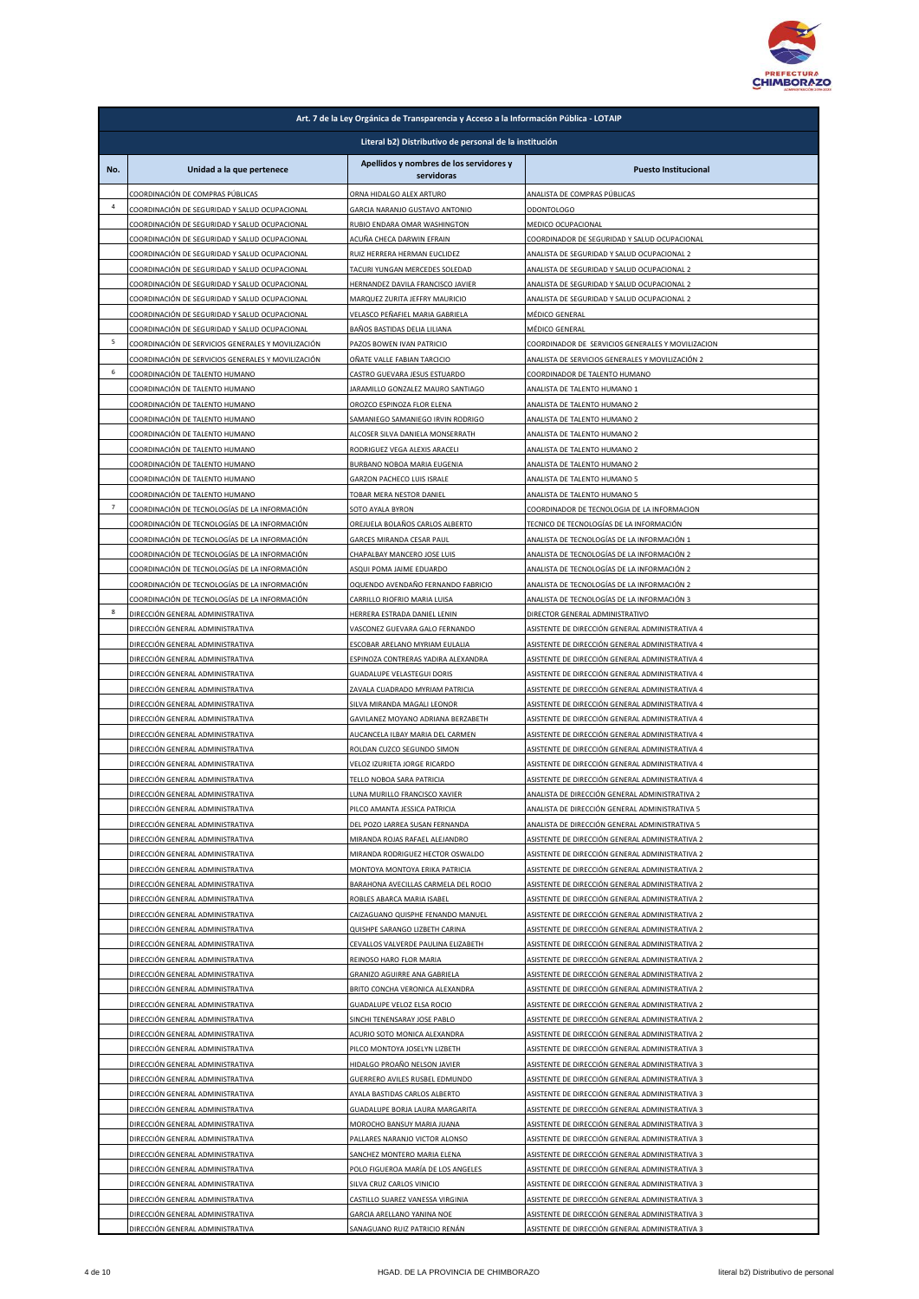

|                | Art. 7 de la Ley Orgánica de Transparencia y Acceso a la Información Pública - LOTAIP                    |                                                                     |                                                                                                       |  |  |
|----------------|----------------------------------------------------------------------------------------------------------|---------------------------------------------------------------------|-------------------------------------------------------------------------------------------------------|--|--|
|                | Literal b2) Distributivo de personal de la institución                                                   |                                                                     |                                                                                                       |  |  |
| No.            | Unidad a la que pertenece                                                                                | Apellidos y nombres de los servidores y<br>servidoras               | <b>Puesto Institucional</b>                                                                           |  |  |
| 4              | COORDINACIÓN DE COMPRAS PÚBLICAS                                                                         | ORNA HIDALGO ALEX ARTURO                                            | ANALISTA DE COMPRAS PÚBLICAS                                                                          |  |  |
|                | COORDINACIÓN DE SEGURIDAD Y SALUD OCUPACIONAL<br>COORDINACIÓN DE SEGURIDAD Y SALUD OCUPACIONAL           | GARCIA NARANJO GUSTAVO ANTONIO<br>RUBIO ENDARA OMAR WASHINGTON      | <b>ODONTOLOGO</b><br>MEDICO OCUPACIONAL                                                               |  |  |
|                | COORDINACIÓN DE SEGURIDAD Y SALUD OCUPACIONAL                                                            | ACUÑA CHECA DARWIN EFRAIN                                           | COORDINADOR DE SEGURIDAD Y SALUD OCUPACIONAL                                                          |  |  |
|                | COORDINACIÓN DE SEGURIDAD Y SALUD OCUPACIONAL                                                            | RUIZ HERRERA HERMAN EUCLIDEZ                                        | ANALISTA DE SEGURIDAD Y SALUD OCUPACIONAL 2                                                           |  |  |
|                | COORDINACIÓN DE SEGURIDAD Y SALUD OCUPACIONAL<br>COORDINACIÓN DE SEGURIDAD Y SALUD OCUPACIONAL           | TACURI YUNGAN MERCEDES SOLEDAD<br>HERNANDEZ DAVILA FRANCISCO JAVIER | ANALISTA DE SEGURIDAD Y SALUD OCUPACIONAL 2<br>ANALISTA DE SEGURIDAD Y SALUD OCUPACIONAL 2            |  |  |
|                | COORDINACIÓN DE SEGURIDAD Y SALUD OCUPACIONAL                                                            | MARQUEZ ZURITA JEFFRY MAURICIO                                      | ANALISTA DE SEGURIDAD Y SALUD OCUPACIONAL 2                                                           |  |  |
|                | COORDINACIÓN DE SEGURIDAD Y SALUD OCUPACIONAL                                                            | VELASCO PEÑAFIEL MARIA GABRIELA                                     | MÉDICO GENERAL                                                                                        |  |  |
| 5              | COORDINACIÓN DE SEGURIDAD Y SALUD OCUPACIONAL                                                            | BAÑOS BASTIDAS DELIA LILIANA                                        | MÉDICO GENERAL                                                                                        |  |  |
|                | COORDINACIÓN DE SERVICIOS GENERALES Y MOVILIZACIÓN<br>COORDINACIÓN DE SERVICIOS GENERALES Y MOVILIZACIÓN | PAZOS BOWEN IVAN PATRICIO<br>OÑATE VALLE FABIAN TARCICIO            | COORDINADOR DE SERVICIOS GENERALES Y MOVILIZACION<br>ANALISTA DE SERVICIOS GENERALES Y MOVILIZACIÓN 2 |  |  |
| 6              | COORDINACIÓN DE TALENTO HUMANO                                                                           | CASTRO GUEVARA JESUS ESTUARDO                                       | COORDINADOR DE TALENTO HUMANO                                                                         |  |  |
|                | COORDINACIÓN DE TALENTO HUMANO                                                                           | JARAMILLO GONZALEZ MAURO SANTIAGO                                   | ANALISTA DE TALENTO HUMANO 1                                                                          |  |  |
|                | COORDINACIÓN DE TALENTO HUMANO<br>COORDINACIÓN DE TALENTO HUMANO                                         | OROZCO ESPINOZA FLOR ELENA<br>SAMANIEGO SAMANIEGO IRVIN RODRIGO     | ANALISTA DE TALENTO HUMANO 2<br>ANALISTA DE TALENTO HUMANO 2                                          |  |  |
|                | COORDINACIÓN DE TALENTO HUMANO                                                                           | ALCOSER SILVA DANIELA MONSERRATH                                    | ANALISTA DE TALENTO HUMANO 2                                                                          |  |  |
|                | COORDINACIÓN DE TALENTO HUMANO                                                                           | RODRIGUEZ VEGA ALEXIS ARACELI                                       | ANALISTA DE TALENTO HUMANO 2                                                                          |  |  |
|                | COORDINACIÓN DE TALENTO HUMANO                                                                           | BURBANO NOBOA MARIA EUGENIA                                         | ANALISTA DE TALENTO HUMANO 2                                                                          |  |  |
|                | COORDINACIÓN DE TALENTO HUMANO<br>COORDINACIÓN DE TALENTO HUMANO                                         | <b>GARZON PACHECO LUIS ISRALE</b><br>TOBAR MERA NESTOR DANIEL       | ANALISTA DE TALENTO HUMANO 5<br>ANALISTA DE TALENTO HUMANO 5                                          |  |  |
| $\overline{7}$ | COORDINACIÓN DE TECNOLOGÍAS DE LA INFORMACIÓN                                                            | SOTO AYALA BYRON                                                    | COORDINADOR DE TECNOLOGIA DE LA INFORMACION                                                           |  |  |
|                | COORDINACIÓN DE TECNOLOGÍAS DE LA INFORMACIÓN                                                            | OREJUELA BOLAÑOS CARLOS ALBERTO                                     | TECNICO DE TECNOLOGÍAS DE LA INFORMACIÓN                                                              |  |  |
|                | COORDINACIÓN DE TECNOLOGÍAS DE LA INFORMACIÓN                                                            | GARCES MIRANDA CESAR PAUL                                           | ANALISTA DE TECNOLOGÍAS DE LA INFORMACIÓN 1                                                           |  |  |
|                | COORDINACIÓN DE TECNOLOGÍAS DE LA INFORMACIÓN<br>COORDINACIÓN DE TECNOLOGÍAS DE LA INFORMACIÓN           | CHAPALBAY MANCERO JOSE LUIS<br>ASQUI POMA JAIME EDUARDO             | ANALISTA DE TECNOLOGÍAS DE LA INFORMACIÓN 2<br>ANALISTA DE TECNOLOGÍAS DE LA INFORMACIÓN 2            |  |  |
|                | COORDINACIÓN DE TECNOLOGÍAS DE LA INFORMACIÓN                                                            | OQUENDO AVENDAÑO FERNANDO FABRICIO                                  | ANALISTA DE TECNOLOGÍAS DE LA INFORMACIÓN 2                                                           |  |  |
|                | COORDINACIÓN DE TECNOLOGÍAS DE LA INFORMACIÓN                                                            | CARRILLO RIOFRIO MARIA LUISA                                        | ANALISTA DE TECNOLOGÍAS DE LA INFORMACIÓN 3                                                           |  |  |
| 8              | DIRECCIÓN GENERAL ADMINISTRATIVA                                                                         | HERRERA ESTRADA DANIEL LENIN                                        | DIRECTOR GENERAL ADMINISTRATIVO                                                                       |  |  |
|                | DIRECCIÓN GENERAL ADMINISTRATIVA<br>DIRECCIÓN GENERAL ADMINISTRATIVA                                     | VASCONEZ GUEVARA GALO FERNANDO<br>ESCOBAR ARELANO MYRIAM EULALIA    | ASISTENTE DE DIRECCIÓN GENERAL ADMINISTRATIVA 4<br>ASISTENTE DE DIRECCIÓN GENERAL ADMINISTRATIVA 4    |  |  |
|                | DIRECCIÓN GENERAL ADMINISTRATIVA                                                                         | ESPINOZA CONTRERAS YADIRA ALEXANDRA                                 | ASISTENTE DE DIRECCIÓN GENERAL ADMINISTRATIVA 4                                                       |  |  |
|                | DIRECCIÓN GENERAL ADMINISTRATIVA                                                                         | GUADALUPE VELASTEGUI DORIS                                          | ASISTENTE DE DIRECCIÓN GENERAL ADMINISTRATIVA 4                                                       |  |  |
|                | DIRECCIÓN GENERAL ADMINISTRATIVA<br>DIRECCIÓN GENERAL ADMINISTRATIVA                                     | ZAVALA CUADRADO MYRIAM PATRICIA<br>SILVA MIRANDA MAGALI LEONOR      | ASISTENTE DE DIRECCIÓN GENERAL ADMINISTRATIVA 4<br>ASISTENTE DE DIRECCIÓN GENERAL ADMINISTRATIVA 4    |  |  |
|                | DIRECCIÓN GENERAL ADMINISTRATIVA                                                                         | GAVILANEZ MOYANO ADRIANA BERZABETH                                  | ASISTENTE DE DIRECCIÓN GENERAL ADMINISTRATIVA 4                                                       |  |  |
|                | DIRECCIÓN GENERAL ADMINISTRATIVA                                                                         | AUCANCELA ILBAY MARIA DEL CARMEN                                    | ASISTENTE DE DIRECCIÓN GENERAL ADMINISTRATIVA 4                                                       |  |  |
|                | DIRECCIÓN GENERAL ADMINISTRATIVA                                                                         | ROLDAN CUZCO SEGUNDO SIMON                                          | ASISTENTE DE DIRECCIÓN GENERAL ADMINISTRATIVA 4                                                       |  |  |
|                | DIRECCIÓN GENERAL ADMINISTRATIVA<br>DIRECCIÓN GENERAL ADMINISTRATIVA                                     | VELOZ IZURIETA JORGE RICARDO<br>TELLO NOBOA SARA PATRICIA           | ASISTENTE DE DIRECCIÓN GENERAL ADMINISTRATIVA 4<br>ASISTENTE DE DIRECCIÓN GENERAL ADMINISTRATIVA 4    |  |  |
|                | DIRECCIÓN GENERAL ADMINISTRATIVA                                                                         | LUNA MURILLO FRANCISCO XAVIER                                       | ANALISTA DE DIRECCIÓN GENERAL ADMINISTRATIVA 2                                                        |  |  |
|                | DIRECCIÓN GENERAL ADMINISTRATIVA                                                                         | PILCO AMANTA JESSICA PATRICIA                                       | ANALISTA DE DIRECCIÓN GENERAL ADMINISTRATIVA 5                                                        |  |  |
|                | DIRECCIÓN GENERAL ADMINISTRATIVA                                                                         | DEL POZO LARREA SUSAN FERNANDA                                      | ANALISTA DE DIRECCIÓN GENERAL ADMINISTRATIVA 5                                                        |  |  |
|                | DIRECCIÓN GENERAL ADMINISTRATIVA<br>DIRECCIÓN GENERAL ADMINISTRATIVA                                     | MIRANDA ROJAS RAFAEL ALEJANDRO<br>MIRANDA RODRIGUEZ HECTOR OSWALDO  | ASISTENTE DE DIRECCIÓN GENERAL ADMINISTRATIVA 2<br>ASISTENTE DE DIRECCIÓN GENERAL ADMINISTRATIVA 2    |  |  |
|                | DIRECCIÓN GENERAL ADMINISTRATIVA                                                                         | MONTOYA MONTOYA ERIKA PATRICIA                                      | ASISTENTE DE DIRECCIÓN GENERAL ADMINISTRATIVA 2                                                       |  |  |
|                | DIRECCIÓN GENERAL ADMINISTRATIVA                                                                         | BARAHONA AVECILLAS CARMELA DEL ROCIO                                | ASISTENTE DE DIRECCIÓN GENERAL ADMINISTRATIVA 2                                                       |  |  |
|                | DIRECCIÓN GENERAL ADMINISTRATIVA<br>DIRECCIÓN GENERAL ADMINISTRATIVA                                     | ROBLES ABARCA MARIA ISABEL<br>CAIZAGUANO QUISPHE FENANDO MANUEL     | ASISTENTE DE DIRECCIÓN GENERAL ADMINISTRATIVA 2<br>ASISTENTE DE DIRECCIÓN GENERAL ADMINISTRATIVA 2    |  |  |
|                | DIRECCIÓN GENERAL ADMINISTRATIVA                                                                         | QUISHPE SARANGO LIZBETH CARINA                                      | ASISTENTE DE DIRECCIÓN GENERAL ADMINISTRATIVA 2                                                       |  |  |
|                | DIRECCIÓN GENERAL ADMINISTRATIVA                                                                         | CEVALLOS VALVERDE PAULINA ELIZABETH                                 | ASISTENTE DE DIRECCIÓN GENERAL ADMINISTRATIVA 2                                                       |  |  |
|                | DIRECCIÓN GENERAL ADMINISTRATIVA                                                                         | REINOSO HARO FLOR MARIA                                             | ASISTENTE DE DIRECCIÓN GENERAL ADMINISTRATIVA 2                                                       |  |  |
|                | DIRECCIÓN GENERAL ADMINISTRATIVA<br>DIRECCIÓN GENERAL ADMINISTRATIVA                                     | GRANIZO AGUIRRE ANA GABRIELA<br>BRITO CONCHA VERONICA ALEXANDRA     | ASISTENTE DE DIRECCIÓN GENERAL ADMINISTRATIVA 2<br>ASISTENTE DE DIRECCIÓN GENERAL ADMINISTRATIVA 2    |  |  |
|                | DIRECCIÓN GENERAL ADMINISTRATIVA                                                                         | GUADALUPE VELOZ ELSA ROCIO                                          | ASISTENTE DE DIRECCIÓN GENERAL ADMINISTRATIVA 2                                                       |  |  |
|                | DIRECCIÓN GENERAL ADMINISTRATIVA                                                                         | SINCHI TENENSARAY JOSE PABLO                                        | ASISTENTE DE DIRECCIÓN GENERAL ADMINISTRATIVA 2                                                       |  |  |
|                | DIRECCIÓN GENERAL ADMINISTRATIVA<br>DIRECCIÓN GENERAL ADMINISTRATIVA                                     | ACURIO SOTO MONICA ALEXANDRA<br>PILCO MONTOYA JOSELYN LIZBETH       | ASISTENTE DE DIRECCIÓN GENERAL ADMINISTRATIVA 2<br>ASISTENTE DE DIRECCIÓN GENERAL ADMINISTRATIVA 3    |  |  |
|                | DIRECCIÓN GENERAL ADMINISTRATIVA                                                                         | HIDALGO PROAÑO NELSON JAVIER                                        | ASISTENTE DE DIRECCIÓN GENERAL ADMINISTRATIVA 3                                                       |  |  |
|                | DIRECCIÓN GENERAL ADMINISTRATIVA                                                                         | GUERRERO AVILES RUSBEL EDMUNDO                                      | ASISTENTE DE DIRECCIÓN GENERAL ADMINISTRATIVA 3                                                       |  |  |
|                | DIRECCIÓN GENERAL ADMINISTRATIVA                                                                         | AYALA BASTIDAS CARLOS ALBERTO                                       | ASISTENTE DE DIRECCIÓN GENERAL ADMINISTRATIVA 3                                                       |  |  |
|                | DIRECCIÓN GENERAL ADMINISTRATIVA<br>DIRECCIÓN GENERAL ADMINISTRATIVA                                     | GUADALUPE BORJA LAURA MARGARITA<br>MOROCHO BANSUY MARIA JUANA       | ASISTENTE DE DIRECCIÓN GENERAL ADMINISTRATIVA 3<br>ASISTENTE DE DIRECCIÓN GENERAL ADMINISTRATIVA 3    |  |  |
|                | DIRECCIÓN GENERAL ADMINISTRATIVA                                                                         | PALLARES NARANJO VICTOR ALONSO                                      | ASISTENTE DE DIRECCIÓN GENERAL ADMINISTRATIVA 3                                                       |  |  |
|                | DIRECCIÓN GENERAL ADMINISTRATIVA                                                                         | SANCHEZ MONTERO MARIA ELENA                                         | ASISTENTE DE DIRECCIÓN GENERAL ADMINISTRATIVA 3                                                       |  |  |
|                | DIRECCIÓN GENERAL ADMINISTRATIVA                                                                         | POLO FIGUEROA MARÍA DE LOS ANGELES                                  | ASISTENTE DE DIRECCIÓN GENERAL ADMINISTRATIVA 3                                                       |  |  |
|                | DIRECCIÓN GENERAL ADMINISTRATIVA<br>DIRECCIÓN GENERAL ADMINISTRATIVA                                     | SILVA CRUZ CARLOS VINICIO<br>CASTILLO SUAREZ VANESSA VIRGINIA       | ASISTENTE DE DIRECCIÓN GENERAL ADMINISTRATIVA 3<br>ASISTENTE DE DIRECCIÓN GENERAL ADMINISTRATIVA 3    |  |  |
|                | DIRECCIÓN GENERAL ADMINISTRATIVA                                                                         | GARCIA ARELLANO YANINA NOE                                          | ASISTENTE DE DIRECCIÓN GENERAL ADMINISTRATIVA 3                                                       |  |  |
|                | DIRECCIÓN GENERAL ADMINISTRATIVA                                                                         | SANAGUANO RUIZ PATRICIO RENÁN                                       | ASISTENTE DE DIRECCIÓN GENERAL ADMINISTRATIVA 3                                                       |  |  |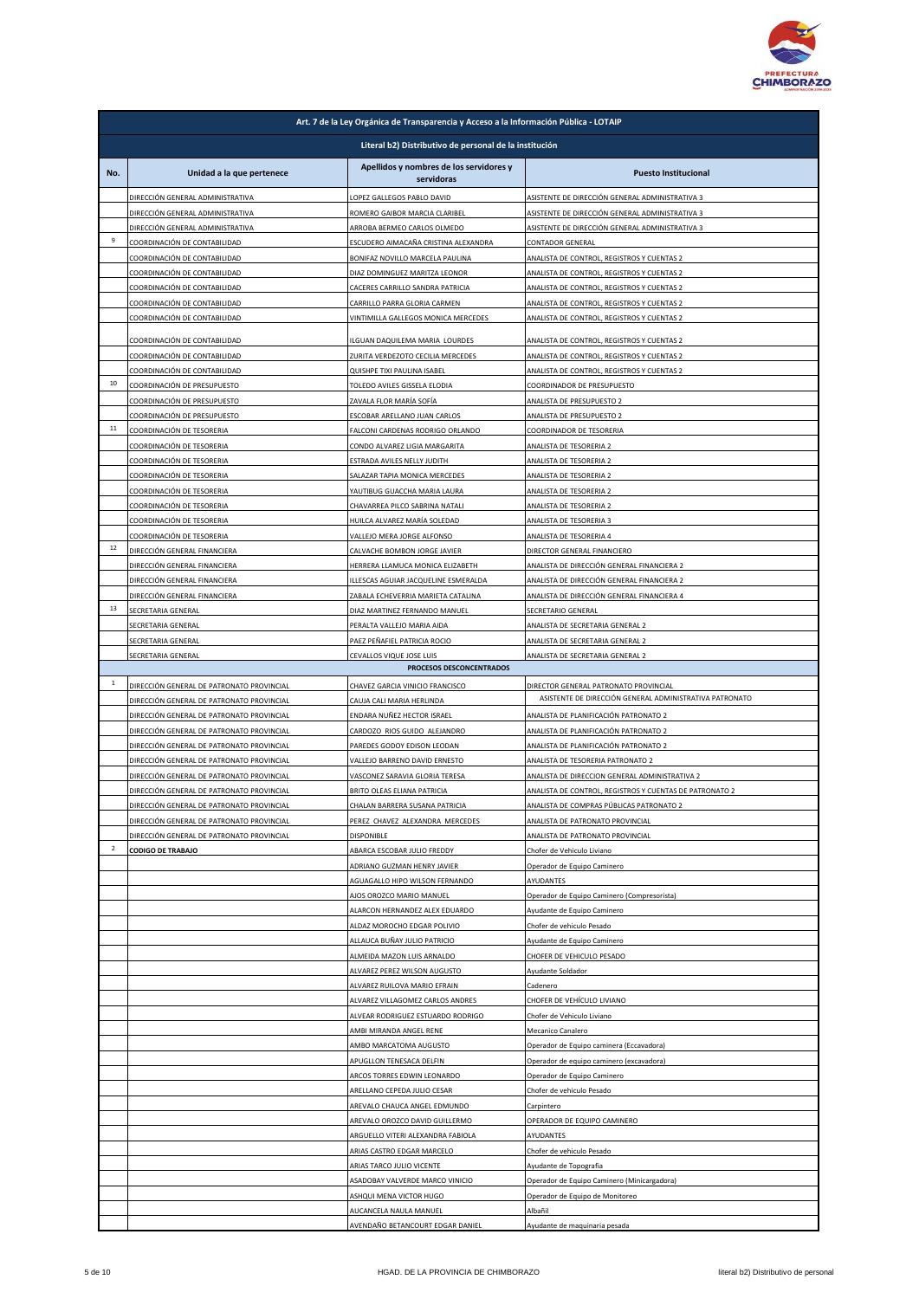

|                | Art. 7 de la Ley Orgánica de Transparencia y Acceso a la Información Pública - LOTAIP         |                                                                            |                                                                                                    |  |
|----------------|-----------------------------------------------------------------------------------------------|----------------------------------------------------------------------------|----------------------------------------------------------------------------------------------------|--|
|                | Literal b2) Distributivo de personal de la institución                                        |                                                                            |                                                                                                    |  |
| No.            | Unidad a la que pertenece                                                                     | Apellidos y nombres de los servidores y<br>servidoras                      | <b>Puesto Institucional</b>                                                                        |  |
|                | DIRECCIÓN GENERAL ADMINISTRATIVA                                                              | LOPEZ GALLEGOS PABLO DAVID                                                 | ASISTENTE DE DIRECCIÓN GENERAL ADMINISTRATIVA 3                                                    |  |
|                | DIRECCIÓN GENERAL ADMINISTRATIVA<br>DIRECCIÓN GENERAL ADMINISTRATIVA                          | ROMERO GAIBOR MARCIA CLARIBEL<br>ARROBA BERMEO CARLOS OLMEDO               | ASISTENTE DE DIRECCIÓN GENERAL ADMINISTRATIVA 3<br>ASISTENTE DE DIRECCIÓN GENERAL ADMINISTRATIVA 3 |  |
| 9              | COORDINACIÓN DE CONTABILIDAD                                                                  | ESCUDERO AIMACAÑA CRISTINA ALEXANDRA                                       | CONTADOR GENERAL                                                                                   |  |
|                | COORDINACIÓN DE CONTABILIDAD                                                                  | BONIFAZ NOVILLO MARCELA PAULINA                                            | ANALISTA DE CONTROL, REGISTROS Y CUENTAS 2                                                         |  |
|                | COORDINACIÓN DE CONTABILIDAD<br>COORDINACIÓN DE CONTABILIDAD                                  | DIAZ DOMINGUEZ MARITZA LEONOR<br>CACERES CARRILLO SANDRA PATRICIA          | ANALISTA DE CONTROL, REGISTROS Y CUENTAS 2<br>ANALISTA DE CONTROL, REGISTROS Y CUENTAS 2           |  |
|                | COORDINACIÓN DE CONTABILIDAD                                                                  | CARRILLO PARRA GLORIA CARMEN                                               | ANALISTA DE CONTROL, REGISTROS Y CUENTAS 2                                                         |  |
|                | COORDINACIÓN DE CONTABILIDAD                                                                  | VINTIMILLA GALLEGOS MONICA MERCEDES                                        | ANALISTA DE CONTROL, REGISTROS Y CUENTAS 2                                                         |  |
|                | COORDINACIÓN DE CONTABILIDAD                                                                  | ILGUAN DAQUILEMA MARIA LOURDES                                             | ANALISTA DE CONTROL, REGISTROS Y CUENTAS 2                                                         |  |
|                | COORDINACIÓN DE CONTABILIDAD                                                                  | ZURITA VERDEZOTO CECILIA MERCEDES                                          | ANALISTA DE CONTROL, REGISTROS Y CUENTAS 2                                                         |  |
| 10             | COORDINACIÓN DE CONTABILIDAD<br>COORDINACIÓN DE PRESUPUESTO                                   | QUISHPE TIXI PAULINA ISABEL<br>TOLEDO AVILES GISSELA ELODIA                | ANALISTA DE CONTROL, REGISTROS Y CUENTAS 2<br>COORDINADOR DE PRESUPUESTO                           |  |
|                | COORDINACIÓN DE PRESUPUESTO                                                                   | ZAVALA FLOR MARÍA SOFÍA                                                    | ANALISTA DE PRESUPUESTO 2                                                                          |  |
|                | COORDINACIÓN DE PRESUPUESTO                                                                   | ESCOBAR ARELLANO JUAN CARLOS                                               | ANALISTA DE PRESUPUESTO 2                                                                          |  |
| ${\bf 11}$     | COORDINACIÓN DE TESORERIA                                                                     | FALCONI CARDENAS RODRIGO ORLANDO                                           | COORDINADOR DE TESORERIA                                                                           |  |
|                | COORDINACIÓN DE TESORERIA<br>COORDINACIÓN DE TESORERIA                                        | CONDO ALVAREZ LIGIA MARGARITA<br>ESTRADA AVILES NELLY JUDITH               | ANALISTA DE TESORERIA 2<br>ANALISTA DE TESORERIA 2                                                 |  |
|                | COORDINACIÓN DE TESORERIA                                                                     | SALAZAR TAPIA MONICA MERCEDES                                              | ANALISTA DE TESORERIA 2                                                                            |  |
|                | COORDINACIÓN DE TESORERIA                                                                     | YAUTIBUG GUACCHA MARIA LAURA                                               | ANALISTA DE TESORERIA 2                                                                            |  |
|                | COORDINACIÓN DE TESORERIA<br>COORDINACIÓN DE TESORERIA                                        | CHAVARREA PILCO SABRINA NATALI<br>HUILCA ALVAREZ MARÍA SOLEDAD             | ANALISTA DE TESORERIA 2<br>ANALISTA DE TESORERIA 3                                                 |  |
|                | COORDINACIÓN DE TESORERIA                                                                     | VALLEJO MERA JORGE ALFONSO                                                 | ANALISTA DE TESORERIA 4                                                                            |  |
| 12             | DIRECCIÓN GENERAL FINANCIERA                                                                  | CALVACHE BOMBON JORGE JAVIER                                               | DIRECTOR GENERAL FINANCIERO                                                                        |  |
|                | DIRECCIÓN GENERAL FINANCIERA                                                                  | HERRERA LLAMUCA MONICA ELIZABETH                                           | ANALISTA DE DIRECCIÓN GENERAL FINANCIERA 2                                                         |  |
|                | DIRECCIÓN GENERAL FINANCIERA<br>DIRECCIÓN GENERAL FINANCIERA                                  | ILLESCAS AGUIAR JACQUELINE ESMERALDA<br>ZABALA ECHEVERRIA MARIETA CATALINA | ANALISTA DE DIRECCIÓN GENERAL FINANCIERA 2<br>ANALISTA DE DIRECCIÓN GENERAL FINANCIERA 4           |  |
| 13             | SECRETARIA GENERAL                                                                            | DIAZ MARTINEZ FERNANDO MANUEL                                              | SECRETARIO GENERAL                                                                                 |  |
|                | SECRETARIA GENERAL                                                                            | PERALTA VALLEJO MARIA AIDA                                                 | ANALISTA DE SECRETARIA GENERAL 2                                                                   |  |
|                | SECRETARIA GENERAL                                                                            | PAEZ PEÑAFIEL PATRICIA ROCIO                                               | ANALISTA DE SECRETARIA GENERAL 2                                                                   |  |
|                | SECRETARIA GENERAL                                                                            | CEVALLOS VIQUE JOSE LUIS<br>PROCESOS DESCONCENTRADOS                       | ANALISTA DE SECRETARIA GENERAL 2                                                                   |  |
| $\,$ 1         | DIRECCIÓN GENERAL DE PATRONATO PROVINCIAL                                                     | CHAVEZ GARCIA VINICIO FRANCISCO                                            | DIRECTOR GENERAL PATRONATO PROVINCIAL                                                              |  |
|                | DIRECCIÓN GENERAL DE PATRONATO PROVINCIAL                                                     | CAUJA CALI MARIA HERLINDA                                                  | ASISTENTE DE DIRECCIÓN GENERAL ADMINISTRATIVA PATRONATO                                            |  |
|                | DIRECCIÓN GENERAL DE PATRONATO PROVINCIAL<br>DIRECCIÓN GENERAL DE PATRONATO PROVINCIAL        | ENDARA NUÑEZ HECTOR ISRAEL<br>CARDOZO RIOS GUIDO ALEJANDRO                 | ANALISTA DE PLANIFICACIÓN PATRONATO 2<br>ANALISTA DE PLANIFICACIÓN PATRONATO 2                     |  |
|                | DIRECCIÓN GENERAL DE PATRONATO PROVINCIAL                                                     | PAREDES GODOY EDISON LEODAN                                                | ANALISTA DE PLANIFICACIÓN PATRONATO 2                                                              |  |
|                | DIRECCIÓN GENERAL DE PATRONATO PROVINCIAL                                                     | VALLEJO BARRENO DAVID ERNESTO                                              | ANALISTA DE TESORERIA PATRONATO 2                                                                  |  |
|                | DIRECCIÓN GENERAL DE PATRONATO PROVINCIAL                                                     | VASCONEZ SARAVIA GLORIA TERESA                                             | ANALISTA DE DIRECCION GENERAL ADMINISTRATIVA 2                                                     |  |
|                | DIRECCIÓN GENERAL DE PATRONATO PROVINCIAL<br><b>DIRECCIÓN GENERAL DE PATRONATO PROVINCIAL</b> | BRITO OLEAS ELIANA PATRICIA<br>HAI AN RARRERA SHSANA PATRICIA              | ANALISTA DE CONTROL, REGISTROS Y CUENTAS DE PATRONATO 2<br>MALISTA DE COMPRAS PÚBLICAS PATRONATO 2 |  |
|                | DIRECCIÓN GENERAL DE PATRONATO PROVINCIAL                                                     | PEREZ CHAVEZ ALEXANDRA MERCEDES                                            | ANALISTA DE PATRONATO PROVINCIAL                                                                   |  |
|                | DIRECCIÓN GENERAL DE PATRONATO PROVINCIAL                                                     | <b>DISPONIBLE</b>                                                          | ANALISTA DE PATRONATO PROVINCIAL                                                                   |  |
| $\overline{2}$ | <b>CODIGO DE TRABAJO</b>                                                                      | ABARCA ESCOBAR JULIO FREDDY<br>ADRIANO GUZMAN HENRY JAVIER                 | Chofer de Vehiculo Liviano                                                                         |  |
|                |                                                                                               | AGUAGALLO HIPO WILSON FERNANDO                                             | Operador de Equipo Caminero<br>AYUDANTES                                                           |  |
|                |                                                                                               | AJOS OROZCO MARIO MANUEL                                                   | Operador de Equipo Caminero (Compresorista)                                                        |  |
|                |                                                                                               | ALARCON HERNANDEZ ALEX EDUARDO                                             | Ayudante de Equipo Caminero                                                                        |  |
|                |                                                                                               | ALDAZ MOROCHO EDGAR POLIVIO<br>ALLAUCA BUÑAY JULIO PATRICIO                | Chofer de vehiculo Pesado<br>Ayudante de Equipo Caminero                                           |  |
|                |                                                                                               | ALMEIDA MAZON LUIS ARNALDO                                                 | CHOFER DE VEHICULO PESADO                                                                          |  |
|                |                                                                                               | ALVAREZ PEREZ WILSON AUGUSTO                                               | Ayudante Soldador                                                                                  |  |
|                |                                                                                               | ALVAREZ RUILOVA MARIO EFRAIN<br>ALVAREZ VILLAGOMEZ CARLOS ANDRES           | Cadenero                                                                                           |  |
|                |                                                                                               | ALVEAR RODRIGUEZ ESTUARDO RODRIGO                                          | CHOFER DE VEHÍCULO LIVIANO<br>Chofer de Vehiculo Liviano                                           |  |
|                |                                                                                               | AMBI MIRANDA ANGEL RENE                                                    | Mecanico Canalero                                                                                  |  |
|                |                                                                                               | AMBO MARCATOMA AUGUSTO                                                     | Operador de Equipo caminera (Eccavadora)                                                           |  |
|                |                                                                                               | APUGLLON TENESACA DELFIN<br>ARCOS TORRES EDWIN LEONARDO                    | Operador de equipo caminero (excavadora)                                                           |  |
|                |                                                                                               | ARELLANO CEPEDA JULIO CESAR                                                | Operador de Equipo Caminero<br>Chofer de vehiculo Pesado                                           |  |
|                |                                                                                               | AREVALO CHAUCA ANGEL EDMUNDO                                               | Carpintero                                                                                         |  |
|                |                                                                                               | AREVALO OROZCO DAVID GUILLERMO                                             | OPERADOR DE EQUIPO CAMINERO                                                                        |  |
|                |                                                                                               | ARGUELLO VITERI ALEXANDRA FABIOLA<br>ARIAS CASTRO EDGAR MARCELO            | AYUDANTES<br>Chofer de vehiculo Pesado                                                             |  |
|                |                                                                                               | ARIAS TARCO JULIO VICENTE                                                  | Ayudante de Topografia                                                                             |  |
|                |                                                                                               | ASADOBAY VALVERDE MARCO VINICIO                                            | Operador de Equipo Caminero (Minicargadora)                                                        |  |
|                |                                                                                               | ASHQUI MENA VICTOR HUGO                                                    | Operador de Equipo de Monitoreo                                                                    |  |
|                |                                                                                               | AUCANCELA NAULA MANUEL<br>VENDAÑO BETANCOURT EDGAR DANIEL                  | Albañil<br>Ayudante de maquinaria pesada                                                           |  |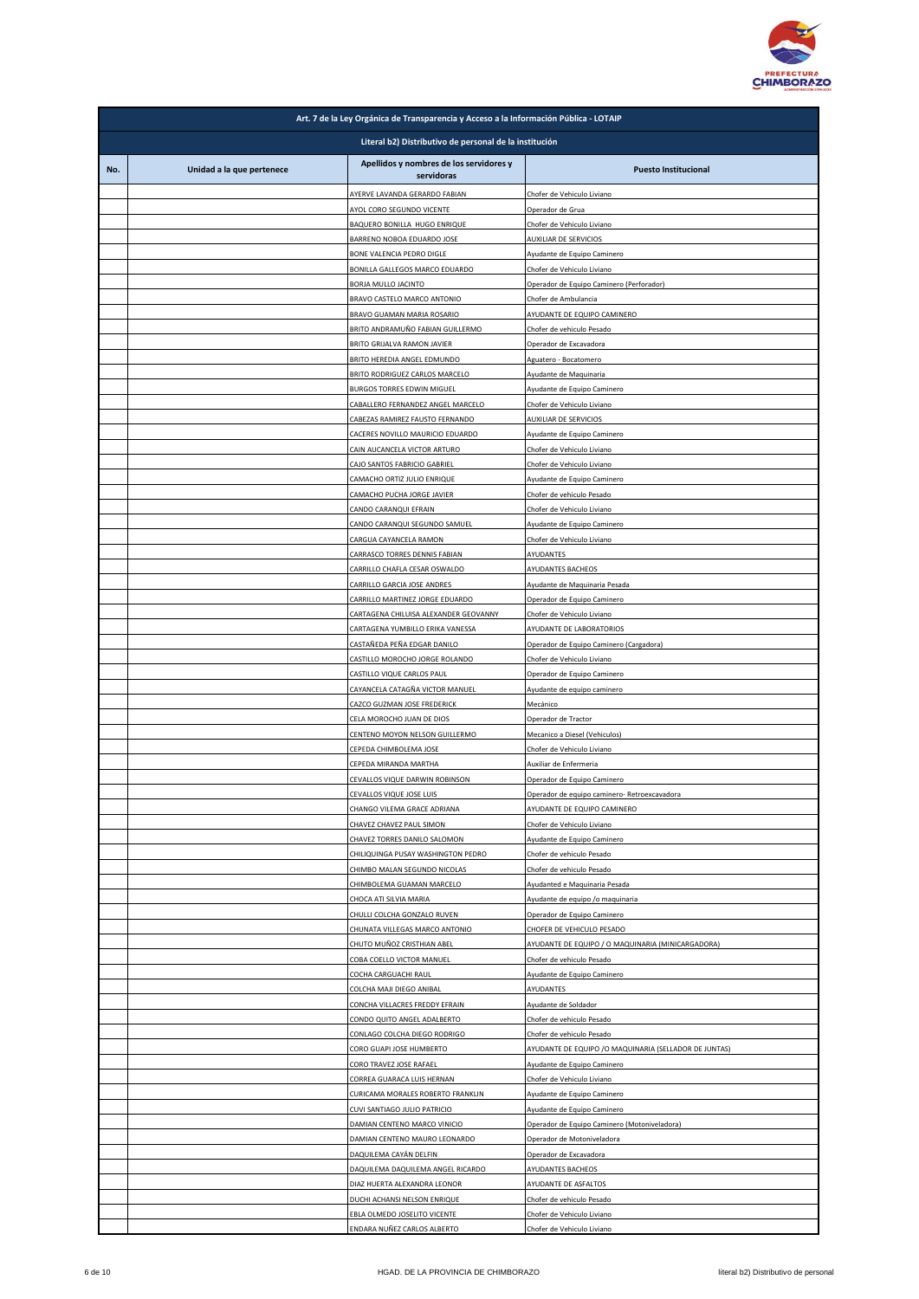

|     | Art. 7 de la Ley Orgánica de Transparencia y Acceso a la Información Pública - LOTAIP |                                                                    |                                                                        |  |
|-----|---------------------------------------------------------------------------------------|--------------------------------------------------------------------|------------------------------------------------------------------------|--|
|     | Literal b2) Distributivo de personal de la institución                                |                                                                    |                                                                        |  |
| No. | Unidad a la que pertenece                                                             | Apellidos y nombres de los servidores y<br>servidoras              | <b>Puesto Institucional</b>                                            |  |
|     |                                                                                       | AYERVE LAVANDA GERARDO FABIAN                                      | Chofer de Vehiculo Liviano                                             |  |
|     |                                                                                       | AYOL CORO SEGUNDO VICENTE<br>BAQUERO BONILLA HUGO ENRIQUE          | Operador de Grua<br>Chofer de Vehiculo Liviano                         |  |
|     |                                                                                       | BARRENO NOBOA EDUARDO JOSE                                         | <b>AUXILIAR DE SERVICIOS</b>                                           |  |
|     |                                                                                       | BONE VALENCIA PEDRO DIGLE                                          | Ayudante de Equipo Caminero                                            |  |
|     |                                                                                       | BONILLA GALLEGOS MARCO EDUARDO<br>BORJA MULLO JACINTO              | Chofer de Vehiculo Liviano<br>Operador de Equipo Caminero (Perforador) |  |
|     |                                                                                       | BRAVO CASTELO MARCO ANTONIO                                        | Chofer de Ambulancia                                                   |  |
|     |                                                                                       | BRAVO GUAMAN MARIA ROSARIO                                         | AYUDANTE DE EQUIPO CAMINERO                                            |  |
|     |                                                                                       | BRITO ANDRAMUÑO FABIAN GUILLERMO<br>BRITO GRIJALVA RAMON JAVIER    | Chofer de vehiculo Pesado<br>Operador de Excavadora                    |  |
|     |                                                                                       | BRITO HEREDIA ANGEL EDMUNDO                                        | Aguatero - Bocatomero                                                  |  |
|     |                                                                                       | BRITO RODRIGUEZ CARLOS MARCELO                                     | Ayudante de Maquinaria                                                 |  |
|     |                                                                                       | BURGOS TORRES EDWIN MIGUEL<br>CABALLERO FERNANDEZ ANGEL MARCELO    | Ayudante de Equipo Caminero<br>Chofer de Vehiculo Liviano              |  |
|     |                                                                                       | CABEZAS RAMIREZ FAUSTO FERNANDO                                    | <b>AUXILIAR DE SERVICIOS</b>                                           |  |
|     |                                                                                       | CACERES NOVILLO MAURICIO EDUARDO                                   | Ayudante de Equipo Caminero                                            |  |
|     |                                                                                       | CAIN AUCANCELA VICTOR ARTURO                                       | Chofer de Vehiculo Liviano                                             |  |
|     |                                                                                       | CAJO SANTOS FABRICIO GABRIEL<br>CAMACHO ORTIZ JULIO ENRIQUE        | Chofer de Vehiculo Liviano<br>Ayudante de Equipo Caminero              |  |
|     |                                                                                       | CAMACHO PUCHA JORGE JAVIER                                         | Chofer de vehiculo Pesado                                              |  |
|     |                                                                                       | CANDO CARANQUI EFRAIN                                              | Chofer de Vehiculo Liviano                                             |  |
|     |                                                                                       | CANDO CARANQUI SEGUNDO SAMUEL<br>CARGUA CAYANCELA RAMON            | Ayudante de Equipo Caminero<br>Chofer de Vehiculo Liviano              |  |
|     |                                                                                       | CARRASCO TORRES DENNIS FABIAN                                      | AYUDANTES                                                              |  |
|     |                                                                                       | CARRILLO CHAFLA CESAR OSWALDO                                      | AYUDANTES BACHEOS                                                      |  |
|     |                                                                                       | CARRILLO GARCIA JOSE ANDRES<br>CARRILLO MARTINEZ JORGE EDUARDO     | Ayudante de Maquinaria Pesada<br>Operador de Equipo Caminero           |  |
|     |                                                                                       | CARTAGENA CHILUISA ALEXANDER GEOVANNY                              | Chofer de Vehiculo Liviano                                             |  |
|     |                                                                                       | CARTAGENA YUMBILLO ERIKA VANESSA                                   | AYUDANTE DE LABORATORIOS                                               |  |
|     |                                                                                       | CASTAÑEDA PEÑA EDGAR DANILO                                        | Operador de Equipo Caminero (Cargadora)                                |  |
|     |                                                                                       | CASTILLO MOROCHO JORGE ROLANDO<br>CASTILLO VIQUE CARLOS PAUL       | Chofer de Vehiculo Liviano<br>Operador de Equipo Caminero              |  |
|     |                                                                                       | CAYANCELA CATAGÑA VICTOR MANUEL                                    | Ayudante de equipo caminero                                            |  |
|     |                                                                                       | CAZCO GUZMAN JOSE FREDERICK                                        | Mecánico<br>Operador de Tractor                                        |  |
|     |                                                                                       | CELA MOROCHO JUAN DE DIOS<br>CENTENO MOYON NELSON GUILLERMO        | Mecanico a Diesel (Vehiculos)                                          |  |
|     |                                                                                       | CEPEDA CHIMBOLEMA JOSE                                             | Chofer de Vehiculo Liviano                                             |  |
|     |                                                                                       | CEPEDA MIRANDA MARTHA<br>CEVALLOS VIQUE DARWIN ROBINSON            | Auxiliar de Enfermeria<br>Operador de Equipo Caminero                  |  |
|     |                                                                                       | CEVALLOS VIQUE JOSE LUIS                                           | Operador de equipo caminero- Retroexcavadora                           |  |
|     |                                                                                       | CHANGO VILEMA GRACE ADRIANA                                        | AYUDANTE DE EQUIPO CAMINERO                                            |  |
|     |                                                                                       | CHAVEZ CHAVEZ PAUL SIMON                                           | Chofer de Vehiculo Liviano<br>Ayudante de Equipo Caminero              |  |
|     |                                                                                       | CHAVEZ TORRES DANILO SALOMON<br>CHILIQUINGA PUSAY WASHINGTON PEDRO | Chofer de vehiculo Pesado                                              |  |
|     |                                                                                       | CHIMBO MALAN SEGUNDO NICOLAS                                       | Chofer de vehiculo Pesado                                              |  |
|     |                                                                                       | CHIMBOLEMA GUAMAN MARCELO                                          | Ayudanted e Maquinaria Pesada                                          |  |
|     |                                                                                       | CHOCA ATI SILVIA MARIA<br>CHULLI COLCHA GONZALO RUVEN              | Ayudante de equipo /o maquinaria<br>Operador de Equipo Caminero        |  |
|     |                                                                                       | CHUNATA VILLEGAS MARCO ANTONIO                                     | CHOFER DE VEHICULO PESADO                                              |  |
|     |                                                                                       | CHUTO MUÑOZ CRISTHIAN ABEL                                         | AYUDANTE DE EQUIPO / O MAQUINARIA (MINICARGADORA)                      |  |
|     |                                                                                       | COBA COELLO VICTOR MANUEL<br>COCHA CARGUACHI RAUL                  | Chofer de vehiculo Pesado<br>Ayudante de Equipo Caminero               |  |
|     |                                                                                       | COLCHA MAJI DIEGO ANIBAL                                           | AYUDANTES                                                              |  |
|     |                                                                                       | CONCHA VILLACRES FREDDY EFRAIN                                     | Ayudante de Soldador                                                   |  |
|     |                                                                                       | CONDO QUITO ANGEL ADALBERTO<br>CONLAGO COLCHA DIEGO RODRIGO        | Chofer de vehiculo Pesado<br>Chofer de vehiculo Pesado                 |  |
|     |                                                                                       | CORO GUAPI JOSE HUMBERTO                                           | AYUDANTE DE EQUIPO / O MAQUINARIA (SELLADOR DE JUNTAS)                 |  |
|     |                                                                                       | CORO TRAVEZ JOSE RAFAEL                                            | Ayudante de Equipo Caminero                                            |  |
|     |                                                                                       | CORREA GUARACA LUIS HERNAN<br>CURICAMA MORALES ROBERTO FRANKLIN    | Chofer de Vehiculo Liviano<br>Ayudante de Equipo Caminero              |  |
|     |                                                                                       | CUVI SANTIAGO JULIO PATRICIO                                       | Ayudante de Equipo Caminero                                            |  |
|     |                                                                                       | DAMIAN CENTENO MARCO VINICIO                                       | Operador de Equipo Caminero (Motoniveladora)                           |  |
|     |                                                                                       | DAMIAN CENTENO MAURO LEONARDO<br>DAQUILEMA CAYÁN DELFIN            | Operador de Motoniveladora<br>Operador de Excavadora                   |  |
|     |                                                                                       | DAQUILEMA DAQUILEMA ANGEL RICARDO                                  | AYUDANTES BACHEOS                                                      |  |
|     |                                                                                       | DIAZ HUERTA ALEXANDRA LEONOR                                       | AYUDANTE DE ASFALTOS                                                   |  |
|     |                                                                                       | DUCHI ACHANSI NELSON ENRIQUE                                       | Chofer de vehiculo Pesado                                              |  |
|     |                                                                                       | EBLA OLMEDO JOSELITO VICENTE<br>ENDARA NUÑEZ CARLOS ALBERTO        | Chofer de Vehiculo Liviano<br>Chofer de Vehiculo Liviano               |  |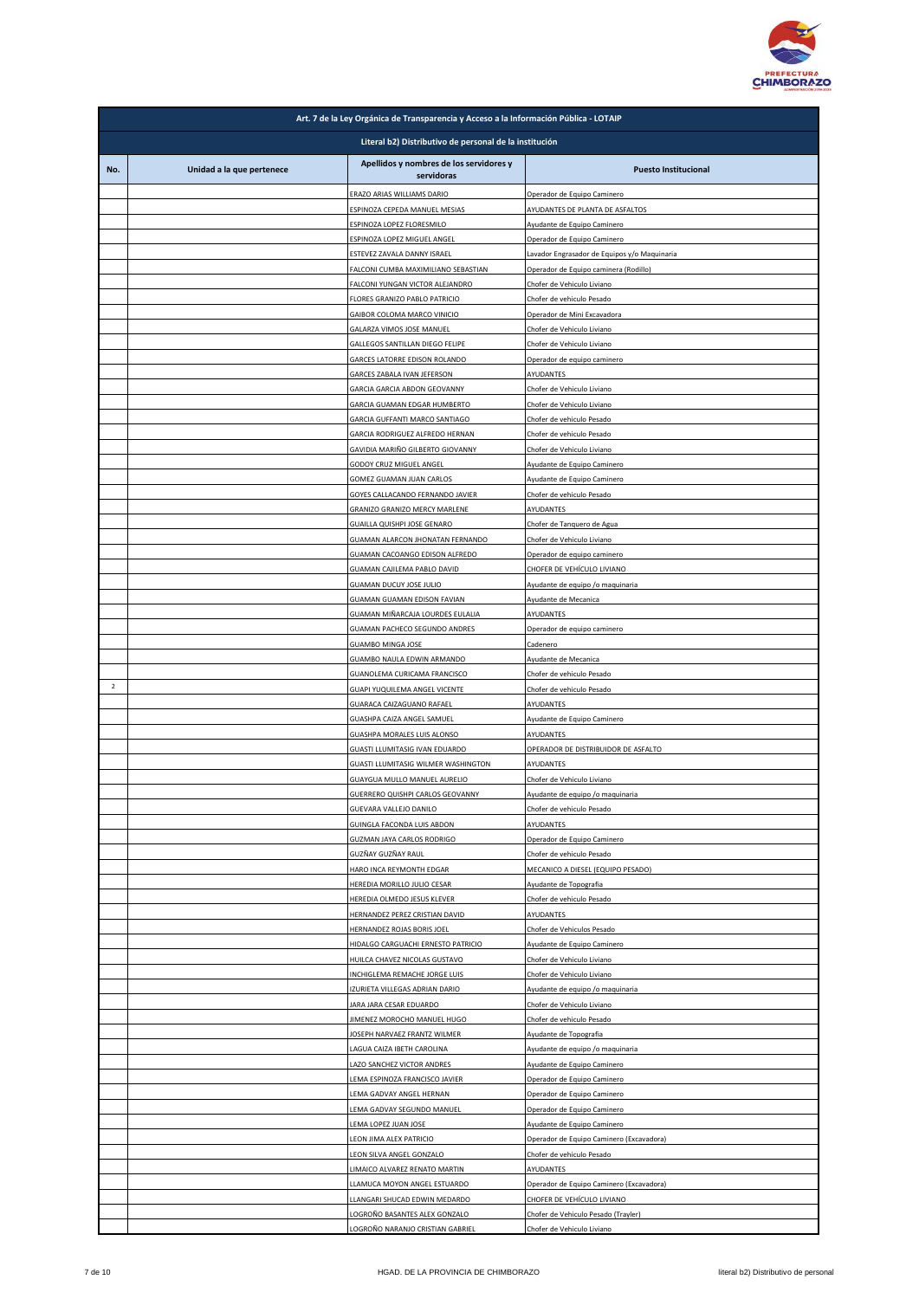

|                | Art. 7 de la Ley Orgánica de Transparencia y Acceso a la Información Pública - LOTAIP |                                                                       |                                                                       |  |
|----------------|---------------------------------------------------------------------------------------|-----------------------------------------------------------------------|-----------------------------------------------------------------------|--|
|                | Literal b2) Distributivo de personal de la institución                                |                                                                       |                                                                       |  |
| No.            | Unidad a la que pertenece                                                             | Apellidos y nombres de los servidores y<br>servidoras                 | <b>Puesto Institucional</b>                                           |  |
|                |                                                                                       | ERAZO ARIAS WILLIAMS DARIO                                            | Operador de Equipo Caminero                                           |  |
|                |                                                                                       | ESPINOZA CEPEDA MANUEL MESIAS                                         | AYUDANTES DE PLANTA DE ASFALTOS                                       |  |
|                |                                                                                       | ESPINOZA LOPEZ FLORESMILO<br>ESPINOZA LOPEZ MIGUEL ANGEL              | Ayudante de Equipo Caminero<br>Operador de Equipo Caminero            |  |
|                |                                                                                       | ESTEVEZ ZAVALA DANNY ISRAEL                                           | avador Engrasador de Equipos y/o Maquinaria                           |  |
|                |                                                                                       | FALCONI CUMBA MAXIMILIANO SEBASTIAN                                   | Operador de Equipo caminera (Rodillo)                                 |  |
|                |                                                                                       | FALCONI YUNGAN VICTOR ALEJANDRO<br>FLORES GRANIZO PABLO PATRICIO      | Chofer de Vehiculo Liviano<br>Chofer de vehiculo Pesado               |  |
|                |                                                                                       | GAIBOR COLOMA MARCO VINICIO                                           | Operador de Mini Excavadora                                           |  |
|                |                                                                                       | GALARZA VIMOS JOSE MANUEL                                             | Chofer de Vehiculo Liviano                                            |  |
|                |                                                                                       | GALLEGOS SANTILLAN DIEGO FELIPE<br>GARCES LATORRE EDISON ROLANDO      | Chofer de Vehiculo Liviano<br>Operador de equipo caminero             |  |
|                |                                                                                       | GARCES ZABALA IVAN JEFERSON                                           | AYUDANTES                                                             |  |
|                |                                                                                       | GARCIA GARCIA ABDON GEOVANNY                                          | Chofer de Vehiculo Liviano                                            |  |
|                |                                                                                       | GARCIA GUAMAN EDGAR HUMBERTO                                          | Chofer de Vehiculo Liviano                                            |  |
|                |                                                                                       | GARCIA GUFFANTI MARCO SANTIAGO<br>GARCIA RODRIGUEZ ALFREDO HERNAN     | Chofer de vehiculo Pesado<br>Chofer de vehiculo Pesado                |  |
|                |                                                                                       | GAVIDIA MARIÑO GILBERTO GIOVANNY                                      | Chofer de Vehiculo Liviano                                            |  |
|                |                                                                                       | GODOY CRUZ MIGUEL ANGEL                                               | Ayudante de Equipo Caminero                                           |  |
|                |                                                                                       | GOMEZ GUAMAN JUAN CARLOS<br>GOYES CALLACANDO FERNANDO JAVIER          | Ayudante de Equipo Caminero<br>Chofer de vehiculo Pesado              |  |
|                |                                                                                       | GRANIZO GRANIZO MERCY MARLENE                                         | AYUDANTES                                                             |  |
|                |                                                                                       | GUAILLA QUISHPI JOSE GENARO                                           | Chofer de Tanquero de Agua                                            |  |
|                |                                                                                       | GUAMAN ALARCON JHONATAN FERNANDO                                      | Chofer de Vehiculo Liviano                                            |  |
|                |                                                                                       | GUAMAN CACOANGO EDISON ALFREDO<br>GUAMAN CAJILEMA PABLO DAVID         | Operador de equipo caminero<br>CHOFER DE VEHÍCULO LIVIANO             |  |
|                |                                                                                       | <b>GUAMAN DUCUY JOSE JULIO</b>                                        | Ayudante de equipo /o maquinaria                                      |  |
|                |                                                                                       | GUAMAN GUAMAN EDISON FAVIAN                                           | Ayudante de Mecanica                                                  |  |
|                |                                                                                       | GUAMAN MIÑARCAJA LOURDES EULALIA<br>GUAMAN PACHECO SEGUNDO ANDRES     | AYUDANTES<br>Operador de equipo caminero                              |  |
|                |                                                                                       | <b>GUAMBO MINGA JOSE</b>                                              | Cadenero                                                              |  |
|                |                                                                                       | GUAMBO NAULA EDWIN ARMANDO                                            | Ayudante de Mecanica                                                  |  |
| $\overline{2}$ |                                                                                       | GUANOLEMA CURICAMA FRANCISCO                                          | Chofer de vehiculo Pesado                                             |  |
|                |                                                                                       | GUAPI YUQUILEMA ANGEL VICENTE<br>GUARACA CAIZAGUANO RAFAEL            | Chofer de vehiculo Pesado<br>AYUDANTES                                |  |
|                |                                                                                       | GUASHPA CAIZA ANGEL SAMUEL                                            | Ayudante de Equipo Caminero                                           |  |
|                |                                                                                       | GUASHPA MORALES LUIS ALONSO                                           | AYUDANTES                                                             |  |
|                |                                                                                       | GUASTI LLUMITASIG IVAN EDUARDO<br>GUASTI LLUMITASIG WILMER WASHINGTON | OPERADOR DE DISTRIBUIDOR DE ASFALTO<br>AYUDANTES                      |  |
|                |                                                                                       | GUAYGUA MULLO MANUEL AURELIO                                          | Chofer de Vehiculo Liviano                                            |  |
|                |                                                                                       | GUERRERO QUISHPI CARLOS GEOVANNY                                      | Ayudante de equipo /o maquinaria                                      |  |
|                |                                                                                       | GUEVARA VALLEJO DANILO<br>GUINGLA FACONDA LUIS ABDON                  | Chofer de vehiculo Pesado<br>AYUDANTES                                |  |
|                |                                                                                       | <b>GUZMAN JAYA CARLOS RODRIGO</b>                                     | Operador de Equipo Caminero                                           |  |
|                |                                                                                       | GUZÑAY GUZÑAY RAUL                                                    | Chofer de vehiculo Pesado                                             |  |
|                |                                                                                       | HARO INCA REYMONTH EDGAR<br>HEREDIA MORILLO JULIO CESAR               | MECANICO A DIESEL (EQUIPO PESADO)                                     |  |
|                |                                                                                       | HEREDIA OLMEDO JESUS KLEVER                                           | Ayudante de Topografia<br>Chofer de vehiculo Pesado                   |  |
|                |                                                                                       | HERNANDEZ PEREZ CRISTIAN DAVID                                        | AYUDANTES                                                             |  |
|                |                                                                                       | HERNANDEZ ROJAS BORIS JOEL                                            | Chofer de Vehiculos Pesado                                            |  |
|                |                                                                                       | HIDALGO CARGUACHI ERNESTO PATRICIO<br>HUILCA CHAVEZ NICOLAS GUSTAVO   | Ayudante de Equipo Caminero<br>Chofer de Vehiculo Liviano             |  |
|                |                                                                                       | INCHIGLEMA REMACHE JORGE LUIS                                         | Chofer de Vehiculo Liviano                                            |  |
|                |                                                                                       | IZURIETA VILLEGAS ADRIAN DARIO                                        | Ayudante de equipo /o maquinaria                                      |  |
|                |                                                                                       | JARA JARA CESAR EDUARDO<br>JIMENEZ MOROCHO MANUEL HUGO                | Chofer de Vehiculo Liviano<br>Chofer de vehiculo Pesado               |  |
|                |                                                                                       | <b>JOSEPH NARVAEZ FRANTZ WILMER</b>                                   | Ayudante de Topografia                                                |  |
|                |                                                                                       | LAGUA CAIZA IBETH CAROLINA                                            | Ayudante de equipo /o maquinaria                                      |  |
|                |                                                                                       | LAZO SANCHEZ VICTOR ANDRES                                            | Ayudante de Equipo Caminero                                           |  |
|                |                                                                                       | LEMA ESPINOZA FRANCISCO JAVIER<br>LEMA GADVAY ANGEL HERNAN            | Operador de Equipo Caminero<br>Operador de Equipo Caminero            |  |
|                |                                                                                       | LEMA GADVAY SEGUNDO MANUEL                                            | Operador de Equipo Caminero                                           |  |
|                |                                                                                       | LEMA LOPEZ JUAN JOSE                                                  | Ayudante de Equipo Caminero                                           |  |
|                |                                                                                       | LEON JIMA ALEX PATRICIO<br>LEON SILVA ANGEL GONZALO                   | Operador de Equipo Caminero (Excavadora)<br>Chofer de vehiculo Pesado |  |
|                |                                                                                       | LIMAICO ALVAREZ RENATO MARTIN                                         | AYUDANTES                                                             |  |
|                |                                                                                       | LLAMUCA MOYON ANGEL ESTUARDO                                          | Operador de Equipo Caminero (Excavadora)                              |  |
|                |                                                                                       | LLANGARI SHUCAD EDWIN MEDARDO                                         | CHOFER DE VEHÍCULO LIVIANO                                            |  |
|                |                                                                                       | LOGROÑO BASANTES ALEX GONZALO<br>OGROÑO NARANJO CRISTIAN GABRIEL      | Chofer de Vehiculo Pesado (Trayler)<br>Chofer de Vehiculo Liviano     |  |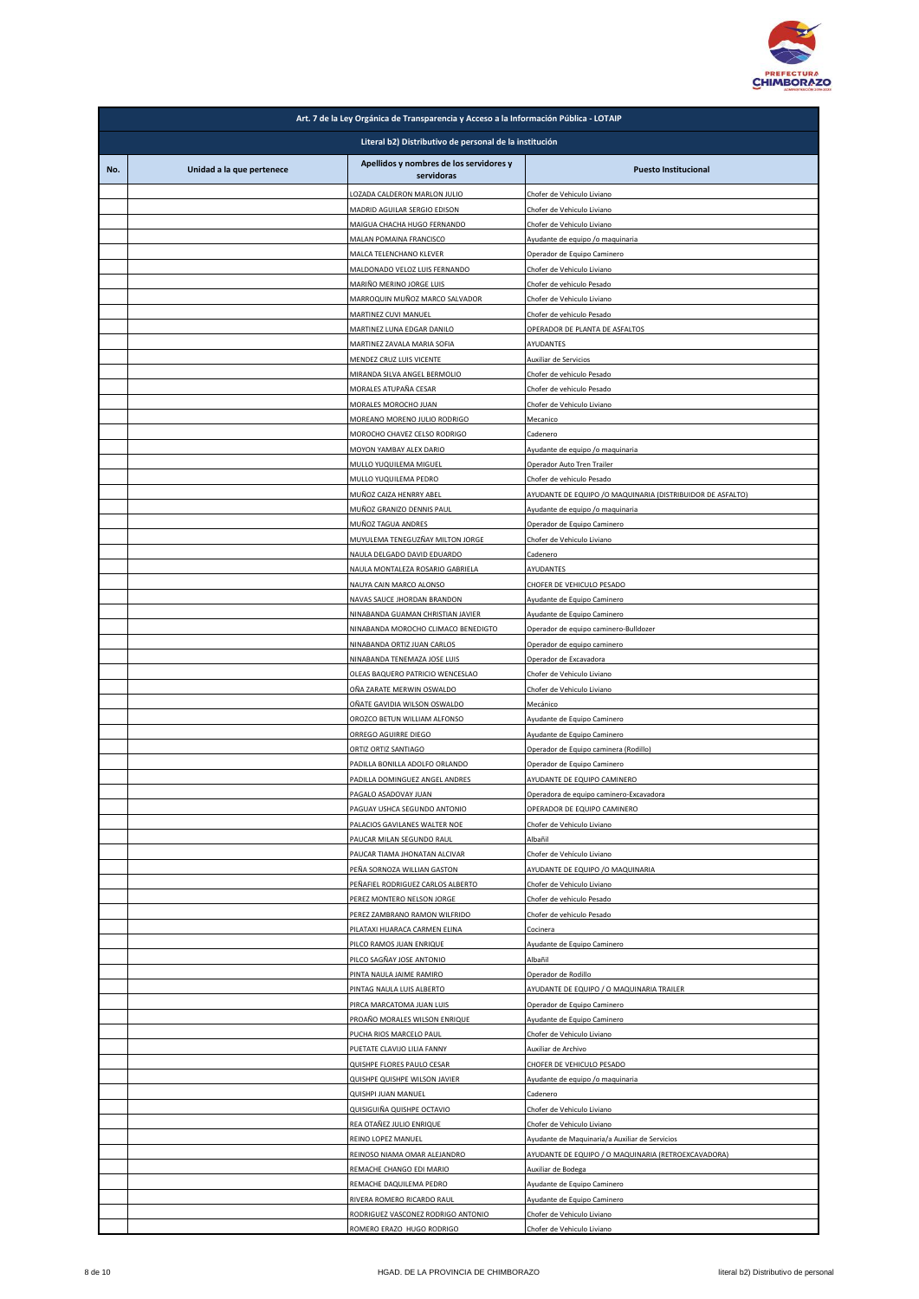

|     | Art. 7 de la Ley Orgánica de Transparencia y Acceso a la Información Pública - LOTAIP |                                                                    |                                                                                                       |  |
|-----|---------------------------------------------------------------------------------------|--------------------------------------------------------------------|-------------------------------------------------------------------------------------------------------|--|
|     | Literal b2) Distributivo de personal de la institución                                |                                                                    |                                                                                                       |  |
| No. | Unidad a la que pertenece                                                             | Apellidos y nombres de los servidores y<br>servidoras              | <b>Puesto Institucional</b>                                                                           |  |
|     |                                                                                       | OZADA CALDERON MARLON JULIO                                        | Chofer de Vehiculo Liviano                                                                            |  |
|     |                                                                                       | MADRID AGUILAR SERGIO EDISON                                       | Chofer de Vehiculo Liviano                                                                            |  |
|     |                                                                                       | MAIGUA CHACHA HUGO FERNANDO                                        | Chofer de Vehiculo Liviano                                                                            |  |
|     |                                                                                       | MALAN POMAINA FRANCISCO<br>MALCA TELENCHANO KLEVER                 | Ayudante de equipo /o maquinaria<br>Operador de Equipo Caminero                                       |  |
|     |                                                                                       | MALDONADO VELOZ LUIS FERNANDO                                      | Chofer de Vehiculo Liviano                                                                            |  |
|     |                                                                                       | MARIÑO MERINO JORGE LUIS<br>MARROQUIN MUÑOZ MARCO SALVADOR         | Chofer de vehiculo Pesado<br>Chofer de Vehiculo Liviano                                               |  |
|     |                                                                                       | MARTINEZ CUVI MANUEL                                               | Chofer de vehiculo Pesado                                                                             |  |
|     |                                                                                       | MARTINEZ LUNA EDGAR DANILO                                         | OPERADOR DE PLANTA DE ASFALTOS                                                                        |  |
|     |                                                                                       | MARTINEZ ZAVALA MARIA SOFIA<br>MENDEZ CRUZ LUIS VICENTE            | AYUDANTES<br>Auxiliar de Servicios                                                                    |  |
|     |                                                                                       | MIRANDA SILVA ANGEL BERMOLIO                                       | Chofer de vehiculo Pesado                                                                             |  |
|     |                                                                                       | MORALES ATUPAÑA CESAR                                              | Chofer de vehiculo Pesado                                                                             |  |
|     |                                                                                       | MORALES MOROCHO JUAN<br>MOREANO MORENO JULIO RODRIGO               | Chofer de Vehiculo Liviano<br>Mecanico                                                                |  |
|     |                                                                                       | MOROCHO CHAVEZ CELSO RODRIGO                                       | Cadenero                                                                                              |  |
|     |                                                                                       | MOYON YAMBAY ALEX DARIO                                            | Ayudante de equipo /o maquinaria                                                                      |  |
|     |                                                                                       | MULLO YUQUILEMA MIGUEL<br>MULLO YUQUILEMA PEDRO                    | Operador Auto Tren Trailer<br>Chofer de vehiculo Pesado                                               |  |
|     |                                                                                       | MUÑOZ CAIZA HENRRY ABEL                                            | AYUDANTE DE EQUIPO / O MAQUINARIA (DISTRIBUIDOR DE ASFALTO)                                           |  |
|     |                                                                                       | MUÑOZ GRANIZO DENNIS PAUL                                          | Ayudante de equipo /o maquinaria                                                                      |  |
|     |                                                                                       | MUÑOZ TAGUA ANDRES<br>MUYULEMA TENEGUZÑAY MILTON JORGE             | Operador de Equipo Caminero<br>Chofer de Vehiculo Liviano                                             |  |
|     |                                                                                       | NAULA DELGADO DAVID EDUARDO                                        | Cadenero                                                                                              |  |
|     |                                                                                       | NAULA MONTALEZA ROSARIO GABRIELA                                   | AYUDANTES                                                                                             |  |
|     |                                                                                       | NAUYA CAIN MARCO ALONSO<br>NAVAS SAUCE JHORDAN BRANDON             | CHOFER DE VEHICULO PESADO<br>Ayudante de Equipo Caminero                                              |  |
|     |                                                                                       | NINABANDA GUAMAN CHRISTIAN JAVIER                                  | Ayudante de Equipo Caminero                                                                           |  |
|     |                                                                                       | NINABANDA MOROCHO CLIMACO BENEDIGTO<br>NINABANDA ORTIZ JUAN CARLOS | Operador de equipo caminero-Bulldozer                                                                 |  |
|     |                                                                                       | NINABANDA TENEMAZA JOSE LUIS                                       | Operador de equipo caminero<br>Operador de Excavadora                                                 |  |
|     |                                                                                       | OLEAS BAQUERO PATRICIO WENCESLAO                                   | Chofer de Vehiculo Liviano                                                                            |  |
|     |                                                                                       | OÑA ZARATE MERWIN OSWALDO<br>OÑATE GAVIDIA WILSON OSWALDO          | Chofer de Vehiculo Liviano<br>Mecánico                                                                |  |
|     |                                                                                       | OROZCO BETUN WILLIAM ALFONSO                                       | Ayudante de Equipo Caminero                                                                           |  |
|     |                                                                                       | ORREGO AGUIRRE DIEGO                                               | Ayudante de Equipo Caminero                                                                           |  |
|     |                                                                                       | ORTIZ ORTIZ SANTIAGO<br>PADILLA BONILLA ADOLFO ORLANDO             | Operador de Equipo caminera (Rodillo)<br>Operador de Equipo Caminero                                  |  |
|     |                                                                                       | PADILLA DOMINGUEZ ANGEL ANDRES                                     | AYUDANTE DE EQUIPO CAMINERO                                                                           |  |
|     |                                                                                       | PAGALO ASADOVAY JUAN                                               | Operadora de equipo caminero-Excavadora                                                               |  |
|     |                                                                                       | PAGUAY USHCA SEGUNDO ANTONIO<br>PALACIOS GAVILANES WALTER NOE      | OPERADOR DE EQUIPO CAMINERO<br>Chofer de Vehiculo Liviano                                             |  |
|     |                                                                                       | PAUCAR MILAN SEGUNDO RAUL                                          | Albañil                                                                                               |  |
|     |                                                                                       | PAUCAR TIAMA JHONATAN ALCIVAR<br>PEÑA SORNOZA WILLIAN GASTON       | Chofer de Vehículo Liviano<br>AYUDANTE DE EQUIPO / O MAQUINARIA                                       |  |
|     |                                                                                       | PEÑAFIEL RODRIGUEZ CARLOS ALBERTO                                  | Chofer de Vehiculo Liviano                                                                            |  |
|     |                                                                                       | PEREZ MONTERO NELSON JORGE                                         | Chofer de vehiculo Pesado                                                                             |  |
|     |                                                                                       | PEREZ ZAMBRANO RAMON WILFRIDO<br>PILATAXI HUARACA CARMEN ELINA     | Chofer de vehiculo Pesado<br>Cocinera                                                                 |  |
|     |                                                                                       | PILCO RAMOS JUAN ENRIQUE                                           | Ayudante de Equipo Caminero                                                                           |  |
|     |                                                                                       | PILCO SAGÑAY JOSE ANTONIO                                          | Albañil                                                                                               |  |
|     |                                                                                       | PINTA NAULA JAIME RAMIRO<br>PINTAG NAULA LUIS ALBERTO              | Operador de Rodillo<br>AYUDANTE DE EQUIPO / O MAQUINARIA TRAILER                                      |  |
|     |                                                                                       | PIRCA MARCATOMA JUAN LUIS                                          | Operador de Equipo Caminero                                                                           |  |
|     |                                                                                       | PROAÑO MORALES WILSON ENRIQUE                                      | Ayudante de Equipo Caminero                                                                           |  |
|     |                                                                                       | PUCHA RIOS MARCELO PAUL<br>PUETATE CLAVIJO LILIA FANNY             | Chofer de Vehiculo Liviano<br>Auxiliar de Archivo                                                     |  |
|     |                                                                                       | QUISHPE FLORES PAULO CESAR                                         | CHOFER DE VEHICULO PESADO                                                                             |  |
|     |                                                                                       | QUISHPE QUISHPE WILSON JAVIER                                      | Ayudante de equipo /o maquinaria                                                                      |  |
|     |                                                                                       | QUISHPI JUAN MANUEL<br>QUISIGUIÑA QUISHPE OCTAVIO                  | Cadenero<br>Chofer de Vehiculo Liviano                                                                |  |
|     |                                                                                       | REA OTAÑEZ JULIO ENRIQUE                                           | Chofer de Vehiculo Liviano                                                                            |  |
|     |                                                                                       | REINO LOPEZ MANUEL<br>REINOSO NIAMA OMAR ALEJANDRO                 | Ayudante de Maquinaria/a Auxiliar de Servicios<br>AYUDANTE DE EQUIPO / O MAQUINARIA (RETROEXCAVADORA) |  |
|     |                                                                                       | REMACHE CHANGO EDI MARIO                                           | Auxiliar de Bodega                                                                                    |  |
|     |                                                                                       | REMACHE DAQUILEMA PEDRO                                            | Ayudante de Equipo Caminero                                                                           |  |
|     |                                                                                       | RIVERA ROMERO RICARDO RAUL<br>RODRIGUEZ VASCONEZ RODRIGO ANTONIO   | Ayudante de Equipo Caminero<br>Chofer de Vehiculo Liviano                                             |  |
|     |                                                                                       | ROMERO ERAZO HUGO RODRIGO                                          | Chofer de Vehiculo Liviano                                                                            |  |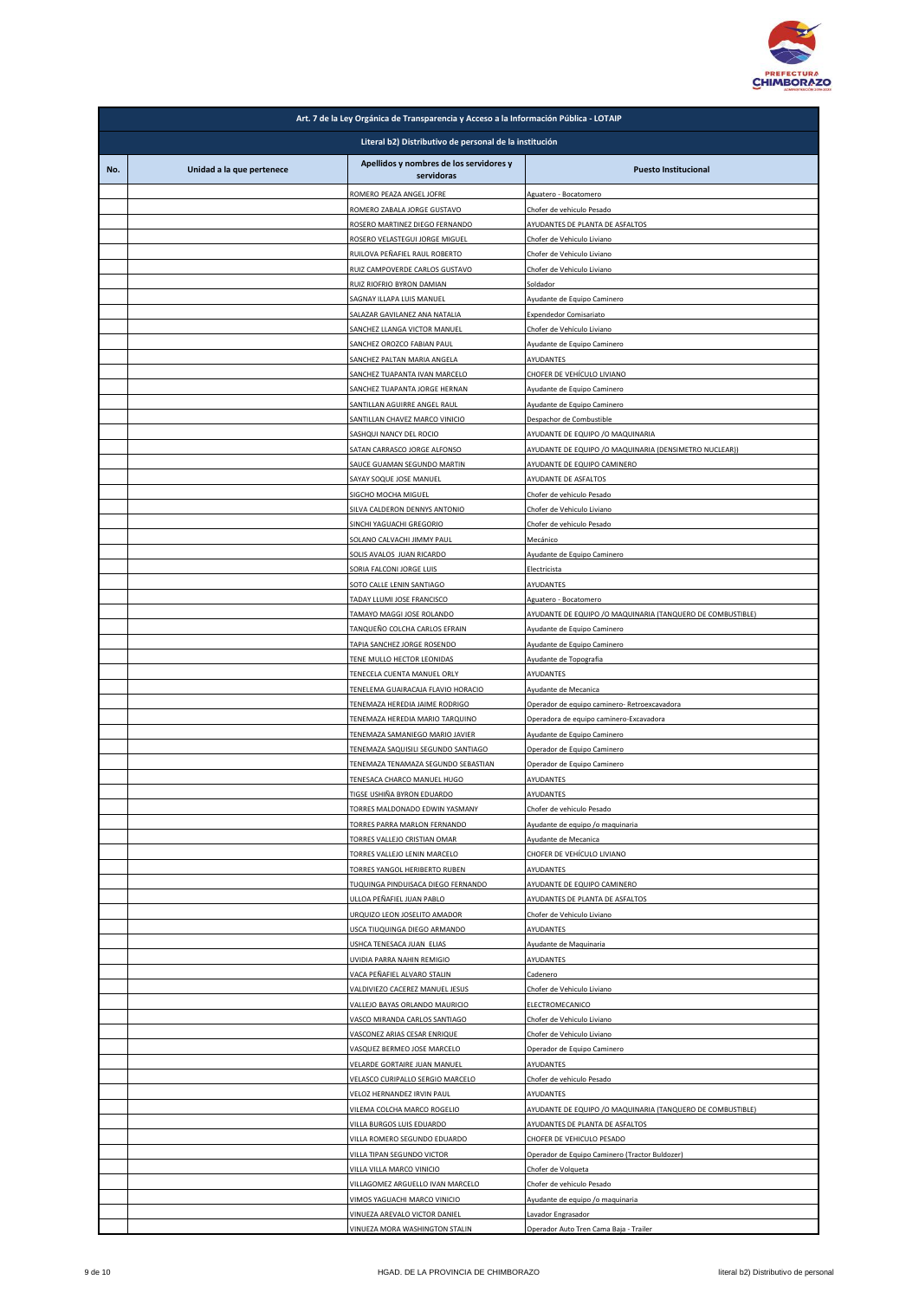

|     | Art. 7 de la Ley Orgánica de Transparencia y Acceso a la Información Pública - LOTAIP |                                                                        |                                                                                             |  |
|-----|---------------------------------------------------------------------------------------|------------------------------------------------------------------------|---------------------------------------------------------------------------------------------|--|
|     | Literal b2) Distributivo de personal de la institución                                |                                                                        |                                                                                             |  |
| No. | Unidad a la que pertenece                                                             | Apellidos y nombres de los servidores y<br>servidoras                  | <b>Puesto Institucional</b>                                                                 |  |
|     |                                                                                       | ROMERO PEAZA ANGEL JOFRE                                               | Aguatero - Bocatomero                                                                       |  |
|     |                                                                                       | ROMERO ZABALA JORGE GUSTAVO<br>ROSERO MARTINEZ DIEGO FERNANDO          | Chofer de vehiculo Pesado<br>AYUDANTES DE PLANTA DE ASFALTOS                                |  |
|     |                                                                                       | ROSERO VELASTEGUI JORGE MIGUEL                                         | Chofer de Vehiculo Liviano                                                                  |  |
|     |                                                                                       | RUILOVA PEÑAFIEL RAUL ROBERTO                                          | Chofer de Vehiculo Liviano                                                                  |  |
|     |                                                                                       | RUIZ CAMPOVERDE CARLOS GUSTAVO<br>RUIZ RIOFRIO BYRON DAMIAN            | Chofer de Vehiculo Liviano<br>Soldador                                                      |  |
|     |                                                                                       | SAGNAY ILLAPA LUIS MANUEL                                              | Ayudante de Equipo Caminero                                                                 |  |
|     |                                                                                       | SALAZAR GAVILANEZ ANA NATALIA                                          | <b>Expendedor Comisariato</b>                                                               |  |
|     |                                                                                       | SANCHEZ LLANGA VICTOR MANUEL<br>SANCHEZ OROZCO FABIAN PAUL             | Chofer de Vehículo Liviano<br>Ayudante de Equipo Caminero                                   |  |
|     |                                                                                       | SANCHEZ PALTAN MARIA ANGELA                                            | AYUDANTES                                                                                   |  |
|     |                                                                                       | SANCHEZ TUAPANTA IVAN MARCELO<br>SANCHEZ TUAPANTA JORGE HERNAN         | CHOFER DE VEHÍCULO LIVIANO                                                                  |  |
|     |                                                                                       | SANTILLAN AGUIRRE ANGEL RAUL                                           | Ayudante de Equipo Caminero<br>Ayudante de Equipo Caminero                                  |  |
|     |                                                                                       | SANTILLAN CHAVEZ MARCO VINICIO                                         | Despachor de Combustible                                                                    |  |
|     |                                                                                       | SASHQUI NANCY DEL ROCIO<br>SATAN CARRASCO JORGE ALFONSO                | AYUDANTE DE EQUIPO /O MAQUINARIA<br>AYUDANTE DE EQUIPO / O MAQUINARIA (DENSIMETRO NUCLEAR)) |  |
|     |                                                                                       | SAUCE GUAMAN SEGUNDO MARTIN                                            | AYUDANTE DE EQUIPO CAMINERO                                                                 |  |
|     |                                                                                       | SAYAY SOQUE JOSE MANUEL                                                | AYUDANTE DE ASFALTOS                                                                        |  |
|     |                                                                                       | SIGCHO MOCHA MIGUEL<br>SILVA CALDERON DENNYS ANTONIO                   | Chofer de vehiculo Pesado<br>Chofer de Vehiculo Liviano                                     |  |
|     |                                                                                       | SINCHI YAGUACHI GREGORIO                                               | Chofer de vehiculo Pesado                                                                   |  |
|     |                                                                                       | SOLANO CALVACHI JIMMY PAUL                                             | Mecánico                                                                                    |  |
|     |                                                                                       | SOLIS AVALOS JUAN RICARDO<br>SORIA FALCONI JORGE LUIS                  | Ayudante de Equipo Caminero<br>Electricista                                                 |  |
|     |                                                                                       | SOTO CALLE LENIN SANTIAGO                                              | AYUDANTES                                                                                   |  |
|     |                                                                                       | TADAY LLUMI JOSE FRANCISCO                                             | Aguatero - Bocatomero                                                                       |  |
|     |                                                                                       | TAMAYO MAGGI JOSE ROLANDO<br>TANQUEÑO COLCHA CARLOS EFRAIN             | AYUDANTE DE EQUIPO / O MAQUINARIA (TANQUERO DE COMBUSTIBLE)<br>Ayudante de Equipo Caminero  |  |
|     |                                                                                       | TAPIA SANCHEZ JORGE ROSENDO                                            | Ayudante de Equipo Caminero                                                                 |  |
|     |                                                                                       | TENE MULLO HECTOR LEONIDAS                                             | Ayudante de Topografia                                                                      |  |
|     |                                                                                       | TENECELA CUENTA MANUEL ORLY<br>TENELEMA GUAIRACAJA FLAVIO HORACIO      | AYUDANTES<br>Ayudante de Mecanica                                                           |  |
|     |                                                                                       | TENEMAZA HEREDIA JAIME RODRIGO                                         | Operador de equipo caminero- Retroexcavadora                                                |  |
|     |                                                                                       | TENEMAZA HEREDIA MARIO TARQUINO                                        | Operadora de equipo caminero-Excavadora                                                     |  |
|     |                                                                                       | TENEMAZA SAMANIEGO MARIO JAVIER<br>TENEMAZA SAQUISILI SEGUNDO SANTIAGO | Ayudante de Equipo Caminero<br>Operador de Equipo Caminero                                  |  |
|     |                                                                                       | TENEMAZA TENAMAZA SEGUNDO SEBASTIAN                                    | Operador de Equipo Caminero                                                                 |  |
|     |                                                                                       | TENESACA CHARCO MANUEL HUGO<br>TIGSE USHIÑA BYRON EDUARDO              | AYUDANTES<br>AYUDANTES                                                                      |  |
|     |                                                                                       | TORRES MALDONADO EDWIN YASMANY                                         | Chofer de vehiculo Pesado                                                                   |  |
|     |                                                                                       | TORRES PARRA MARLON FERNANDO                                           | Ayudante de equipo /o maquinaria                                                            |  |
|     |                                                                                       | TORRES VALLEJO CRISTIAN OMAR<br>TORRES VALLEJO LENIN MARCELO           | Ayudante de Mecanica<br>CHOFER DE VEHÍCULO LIVIANO                                          |  |
|     |                                                                                       | TORRES YANGOL HERIBERTO RUBEN                                          | AYUDANTES                                                                                   |  |
|     |                                                                                       | TUQUINGA PINDUISACA DIEGO FERNANDO                                     | AYUDANTE DE EQUIPO CAMINERO                                                                 |  |
|     |                                                                                       | ULLOA PEÑAFIEL JUAN PABLO<br>URQUIZO LEON JOSELITO AMADOR              | AYUDANTES DE PLANTA DE ASFALTOS<br>Chofer de Vehiculo Liviano                               |  |
|     |                                                                                       | USCA TIUQUINGA DIEGO ARMANDO                                           | AYUDANTES                                                                                   |  |
|     |                                                                                       | USHCA TENESACA JUAN ELIAS<br>UVIDIA PARRA NAHIN REMIGIO                | Ayudante de Maquinaria                                                                      |  |
|     |                                                                                       | VACA PEÑAFIEL ALVARO STALIN                                            | AYUDANTES<br>Cadenero                                                                       |  |
|     |                                                                                       | VALDIVIEZO CACEREZ MANUEL JESUS                                        | Chofer de Vehiculo Liviano                                                                  |  |
|     |                                                                                       | VALLEJO BAYAS ORLANDO MAURICIO<br>VASCO MIRANDA CARLOS SANTIAGO        | ELECTROMECANICO<br>Chofer de Vehiculo Liviano                                               |  |
|     |                                                                                       | VASCONEZ ARIAS CESAR ENRIQUE                                           | Chofer de Vehiculo Liviano                                                                  |  |
|     |                                                                                       | VASQUEZ BERMEO JOSE MARCELO                                            | Operador de Equipo Caminero                                                                 |  |
|     |                                                                                       | VELARDE GORTAIRE JUAN MANUEL<br>VELASCO CURIPALLO SERGIO MARCELO       | AYUDANTES<br>Chofer de vehiculo Pesado                                                      |  |
|     |                                                                                       | VELOZ HERNANDEZ IRVIN PAUL                                             | AYUDANTES                                                                                   |  |
|     |                                                                                       | VILEMA COLCHA MARCO ROGELIO                                            | AYUDANTE DE EQUIPO / O MAQUINARIA (TANQUERO DE COMBUSTIBLE)                                 |  |
|     |                                                                                       | VILLA BURGOS LUIS EDUARDO<br>VILLA ROMERO SEGUNDO EDUARDO              | AYUDANTES DE PLANTA DE ASFALTOS<br>CHOFER DE VEHICULO PESADO                                |  |
|     |                                                                                       | VILLA TIPAN SEGUNDO VICTOR                                             | Operador de Equipo Caminero (Tractor Buldozer)                                              |  |
|     |                                                                                       | VILLA VILLA MARCO VINICIO                                              | Chofer de Volqueta                                                                          |  |
|     |                                                                                       | VILLAGOMEZ ARGUELLO IVAN MARCELO<br>VIMOS YAGUACHI MARCO VINICIO       | Chofer de vehiculo Pesado<br>Ayudante de equipo /o maquinaria                               |  |
|     |                                                                                       | VINUEZA AREVALO VICTOR DANIEL                                          | Lavador Engrasador                                                                          |  |
|     |                                                                                       | VINUEZA MORA WASHINGTON STALIN                                         | Operador Auto Tren Cama Baja - Trailer                                                      |  |